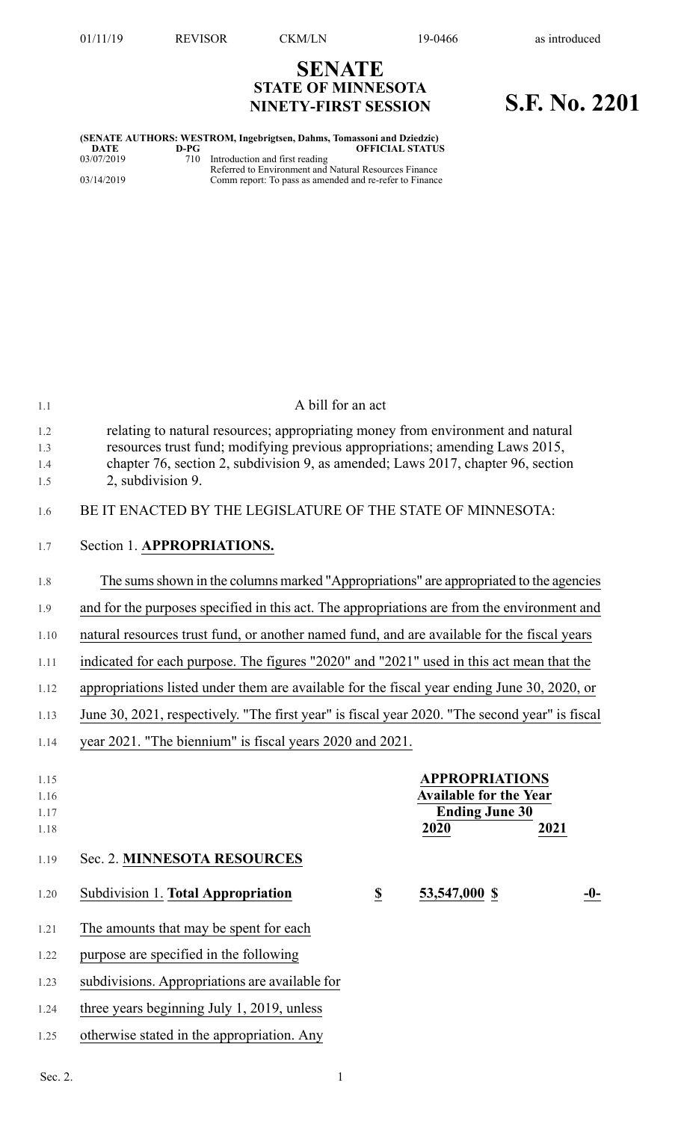**SENATE STATE OF MINNESOTA**

# **NINETY-FIRST SESSION S.F. No. 2201**

#### **(SENATE AUTHORS: WESTROM, Ingebrigtsen, Dahms, Tomassoni and Dziedzic) DEFICIAL STATUS** 03/07/2019 710 Introduction and first reading Referred to Environment and Natural Resources Finance 03/14/2019 Comm report: To pass as amended and re-refer to Finance

1.1 A bill for an act 1.2 relating to natural resources; appropriating money from environment and natural 1.3 resources trust fund; modifying previous appropriations; amending Laws 2015, 1.4 chapter 76, section 2, subdivision 9, as amended; Laws 2017, chapter 96, section 1.5 2, subdivision 9. 1.6 BE IT ENACTED BY THE LEGISLATURE OF THE STATE OF MINNESOTA: 1.7 Section 1. **APPROPRIATIONS.** 1.8 The sumsshown in the columns marked "Appropriations" are appropriated to the agencies 1.9 and for the purposes specified in this act. The appropriations are from the environment and 1.10 natural resources trust fund, or another named fund, and are available for the fiscal years 1.11 indicated for each purpose. The figures "2020" and "2021" used in this act mean that the 1.12 appropriations listed under them are available for the fiscal year ending June 30, 2020, or 1.13 June 30, 2021, respectively. "The first year" is fiscal year 2020. "The second year" is fiscal 1.14 year 2021. "The biennium" is fiscal years 2020 and 2021. 1.15 **APPROPRIATIONS** 1.16 **Available for the Year** 1.17 **Ending June 30** 1.18 **2020 2021** 1.19 Sec. 2. **MINNESOTA RESOURCES** 1.20 Subdivision 1. **Total Appropriation \$ 53,547,000 \$ -0-** 1.21 The amounts that may be spent for each 1.22 purpose are specified in the following 1.23 subdivisions. Appropriations are available for 1.24 three years beginning July 1, 2019, unless 1.25 otherwise stated in the appropriation. Any Sec. 2.  $1$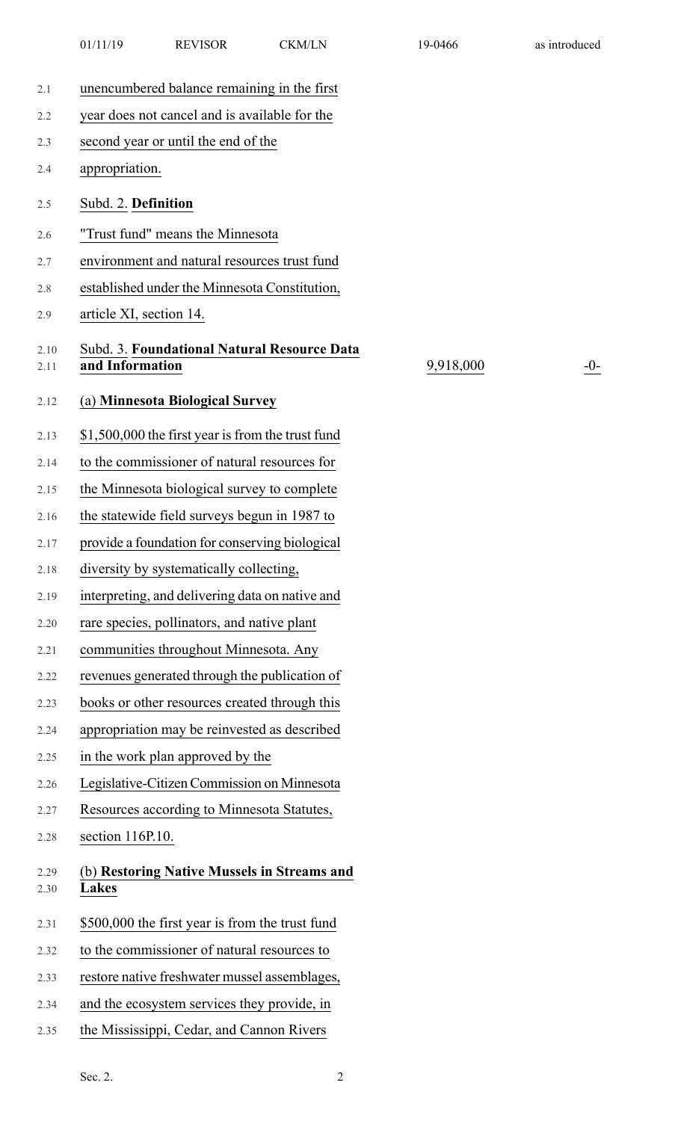- 2.3 second year or until the end of the
- 2.4 appropriation.
- 2.5 Subd. 2. **Definition**
- 2.6 "Trust fund" means the Minnesota
- 2.7 environment and natural resources trust fund
- 2.8 established under the Minnesota Constitution,
- 2.9 article XI, section 14.

#### 2.10 Subd. 3. **Foundational Natural Resource Data** 2.11 **and Information**

## 2.12 (a) **Minnesota Biological Survey**

- 2.13 \$1,500,000 the first year is from the trust fund
- 2.14 to the commissioner of natural resources for
- 2.15 the Minnesota biological survey to complete
- 2.16 the statewide field surveys begun in 1987 to
- 2.17 provide a foundation for conserving biological
- 2.18 diversity by systematically collecting,
- 2.19 interpreting, and delivering data on native and
- 2.20 rare species, pollinators, and native plant
- 2.21 communities throughout Minnesota. Any
- 2.22 revenues generated through the publication of
- 2.23 books or other resources created through this
- 2.24 appropriation may be reinvested as described
- 2.25 in the work plan approved by the
- 2.26 Legislative-Citizen Commission on Minnesota
- 2.27 Resources according to Minnesota Statutes,
- 2.28 section 116P.10.

### 2.29 (b) **Restoring Native Mussels in Streams and** 2.30 **Lakes**

- 2.31 \$500,000 the first year is from the trust fund
- 2.32 to the commissioner of natural resources to
- 2.33 restore native freshwater mussel assemblages,
- 2.34 and the ecosystem services they provide, in
- 2.35 the Mississippi, Cedar, and Cannon Rivers

9,918,000 -0-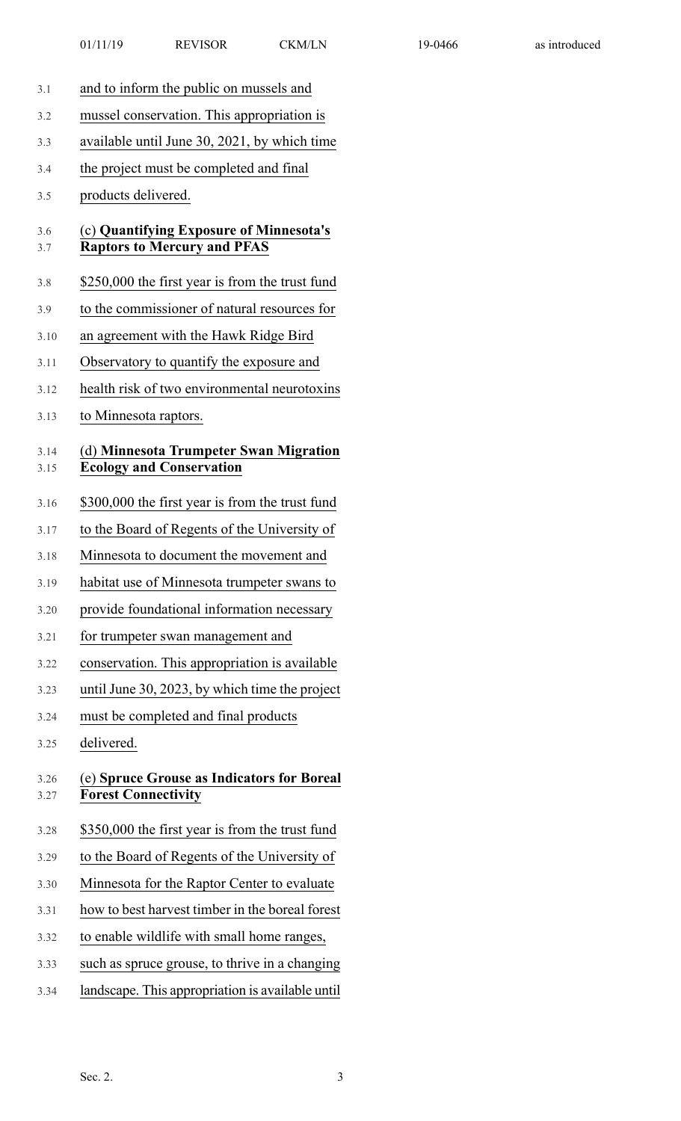- 3.1 and to inform the public on mussels and
- 3.2 mussel conservation. This appropriation is
- 3.3 available until June 30, 2021, by which time
- 3.4 the project must be completed and final
- 3.5 products delivered.

#### 3.6 (c) **Quantifying Exposure of Minnesota's** 3.7 **Raptors to Mercury and PFAS**

- 3.8 \$250,000 the first year is from the trust fund
- 3.9 to the commissioner of natural resources for
- 3.10 an agreement with the Hawk Ridge Bird
- 3.11 Observatory to quantify the exposure and
- 3.12 health risk of two environmental neurotoxins
- 3.13 to Minnesota raptors.

#### 3.14 (d) **Minnesota Trumpeter Swan Migration** 3.15 **Ecology and Conservation**

- 3.16 \$300,000 the first year is from the trust fund
- 3.17 to the Board of Regents of the University of
- 3.18 Minnesota to document the movement and
- 3.19 habitat use of Minnesota trumpeter swans to
- 3.20 provide foundational information necessary
- 3.21 for trumpeter swan management and
- 3.22 conservation. This appropriation is available
- 3.23 until June 30, 2023, by which time the project
- 3.24 must be completed and final products
- 3.25 delivered.

#### 3.26 (e) **Spruce Grouse as Indicators for Boreal** 3.27 **Forest Connectivity**

- 3.28 \$350,000 the first year is from the trust fund
- 3.29 to the Board of Regents of the University of
- 3.30 Minnesota for the Raptor Center to evaluate
- 3.31 how to best harvest timber in the boreal forest
- 3.32 to enable wildlife with small home ranges,
- 3.33 such as spruce grouse, to thrive in a changing
- 3.34 landscape. This appropriation is available until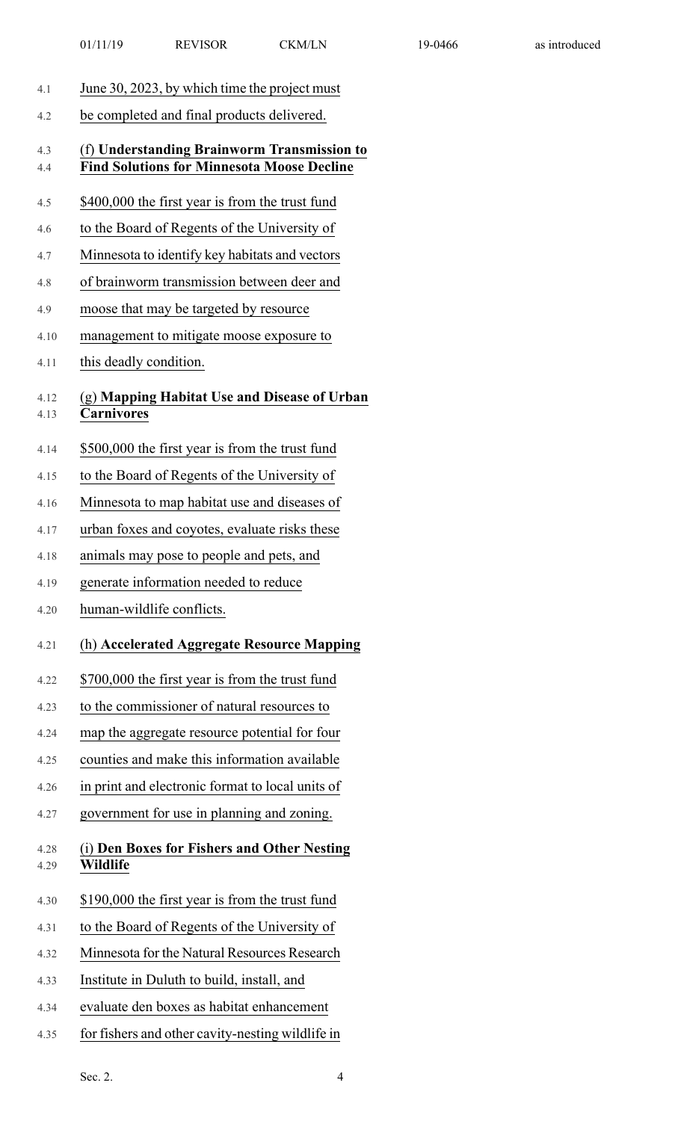| 4.1          | June 30, 2023, by which time the project must                                                    |
|--------------|--------------------------------------------------------------------------------------------------|
| 4.2          | be completed and final products delivered.                                                       |
| 4.3<br>4.4   | (f) Understanding Brainworm Transmission to<br><b>Find Solutions for Minnesota Moose Decline</b> |
| 4.5          | \$400,000 the first year is from the trust fund                                                  |
| 4.6          | to the Board of Regents of the University of                                                     |
| 4.7          | Minnesota to identify key habitats and vectors                                                   |
| 4.8          | of brainworm transmission between deer and                                                       |
| 4.9          | moose that may be targeted by resource                                                           |
| 4.10         | management to mitigate moose exposure to                                                         |
| 4.11         | this deadly condition.                                                                           |
| 4.12<br>4.13 | (g) Mapping Habitat Use and Disease of Urban<br><b>Carnivores</b>                                |
| 4.14         | \$500,000 the first year is from the trust fund                                                  |
| 4.15         | to the Board of Regents of the University of                                                     |
| 4.16         | Minnesota to map habitat use and diseases of                                                     |
| 4.17         | urban foxes and coyotes, evaluate risks these                                                    |
| 4.18         | animals may pose to people and pets, and                                                         |
| 4.19         | generate information needed to reduce                                                            |
| 4.20         | human-wildlife conflicts.                                                                        |
| 4.21         | (h) Accelerated Aggregate Resource Mapping                                                       |
| 4.22         | \$700,000 the first year is from the trust fund                                                  |
| 4.23         | to the commissioner of natural resources to                                                      |
| 4.24         | map the aggregate resource potential for four                                                    |
| 4.25         | counties and make this information available                                                     |
| 4.26         | in print and electronic format to local units of                                                 |
| 4.27         | government for use in planning and zoning.                                                       |
| 4.28<br>4.29 | (i) Den Boxes for Fishers and Other Nesting<br>Wildlife                                          |
| 4.30         | \$190,000 the first year is from the trust fund                                                  |
| 4.31         | to the Board of Regents of the University of                                                     |
| 4.32         | Minnesota for the Natural Resources Research                                                     |
| 4.33         | Institute in Duluth to build, install, and                                                       |
| 4.34         | evaluate den boxes as habitat enhancement                                                        |
| 4.35         | for fishers and other cavity-nesting wildlife in                                                 |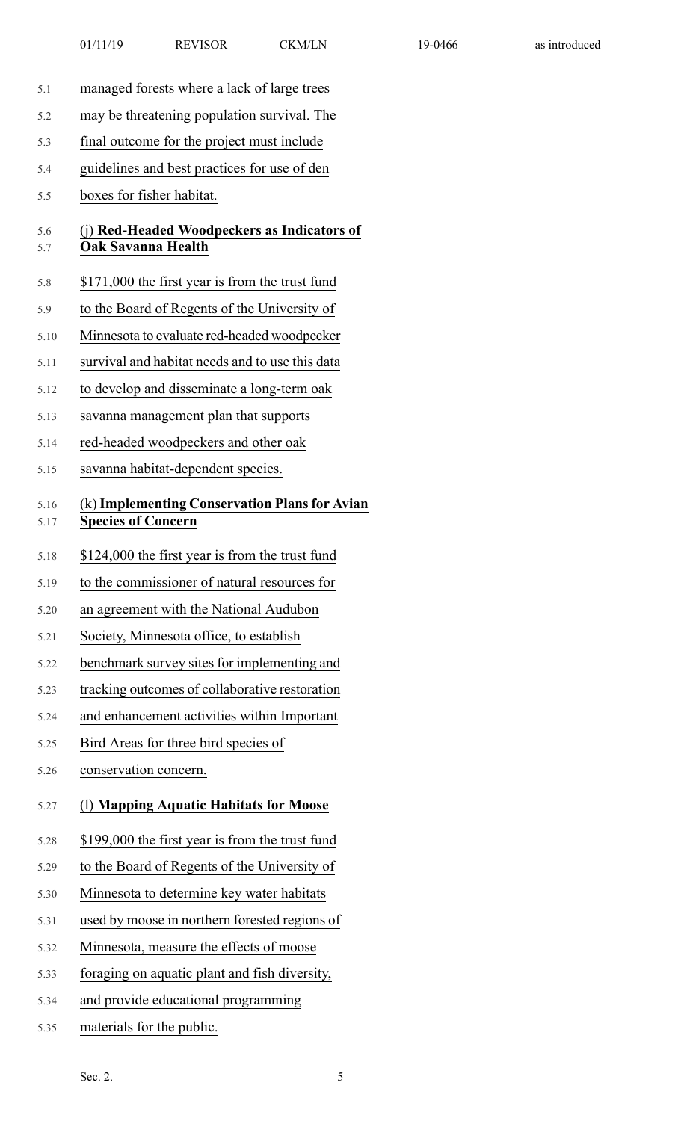- 5.1 managed forests where a lack of large trees
- 5.2 may be threatening population survival. The
- 5.3 final outcome for the project must include
- 5.4 guidelines and best practices for use of den
- 5.5 boxes for fisher habitat.

#### 5.6 (j) **Red-Headed Woodpeckers as Indicators of** 5.7 **Oak Savanna Health**

- 5.8 \$171,000 the first year is from the trust fund
- 5.9 to the Board of Regents of the University of
- 5.10 Minnesota to evaluate red-headed woodpecker
- 5.11 survival and habitat needs and to use this data
- 5.12 to develop and disseminate a long-term oak
- 5.13 savanna management plan that supports
- 5.14 red-headed woodpeckers and other oak
- 5.15 savanna habitat-dependent species.

#### 5.16 (k)**Implementing Conservation Plansfor Avian** 5.17 **Species of Concern**

- 5.18 \$124,000 the first year is from the trust fund
- 5.19 to the commissioner of natural resources for
- 5.20 an agreement with the National Audubon
- 5.21 Society, Minnesota office, to establish
- 5.22 benchmark survey sites for implementing and
- 5.23 tracking outcomes of collaborative restoration
- 5.24 and enhancement activities within Important
- 5.25 Bird Areas for three bird species of
- 5.26 conservation concern.

#### 5.27 (l) **Mapping Aquatic Habitats for Moose**

- 5.28 \$199,000 the first year is from the trust fund
- 5.29 to the Board of Regents of the University of
- 5.30 Minnesota to determine key water habitats
- 5.31 used by moose in northern forested regions of
- 5.32 Minnesota, measure the effects of moose
- 5.33 foraging on aquatic plant and fish diversity,
- 5.34 and provide educational programming
- 5.35 materials for the public.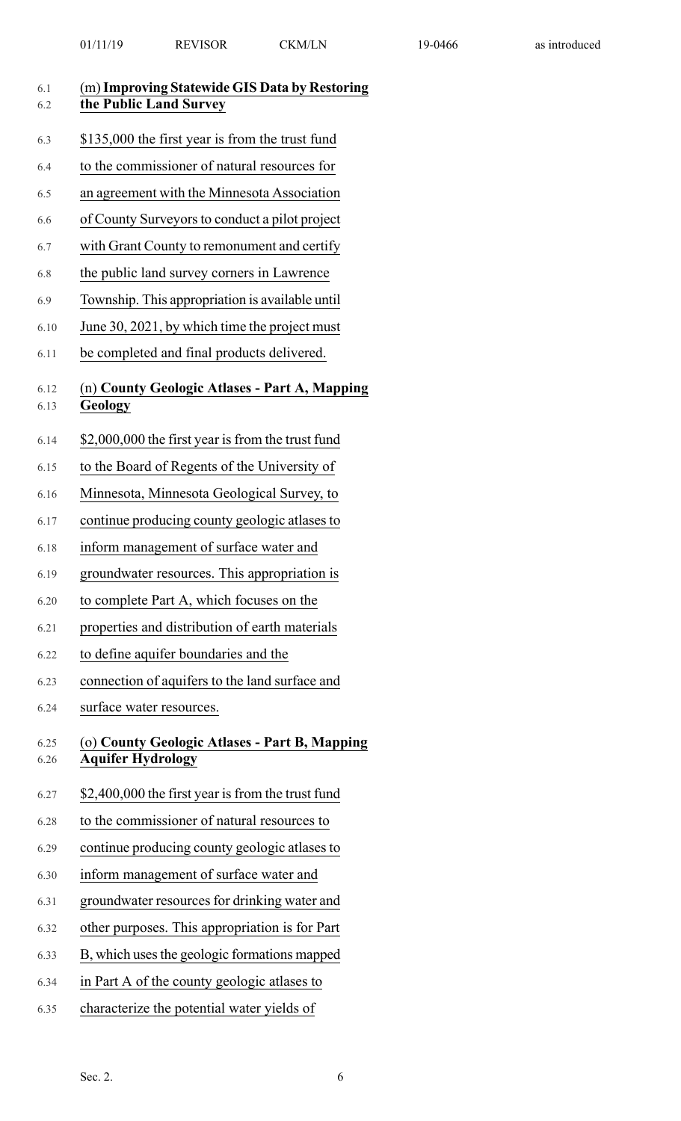| 6.1<br>6.2   | (m) Improving Statewide GIS Data by Restoring<br>the Public Land Survey   |
|--------------|---------------------------------------------------------------------------|
| 6.3          | \$135,000 the first year is from the trust fund                           |
| 6.4          | to the commissioner of natural resources for                              |
| 6.5          | an agreement with the Minnesota Association                               |
| 6.6          | of County Surveyors to conduct a pilot project                            |
| 6.7          | with Grant County to remonument and certify                               |
| 6.8          | the public land survey corners in Lawrence                                |
| 6.9          | Township. This appropriation is available until                           |
| 6.10         | June 30, 2021, by which time the project must                             |
| 6.11         | be completed and final products delivered.                                |
| 6.12<br>6.13 | (n) County Geologic Atlases - Part A, Mapping<br><b>Geology</b>           |
| 6.14         | \$2,000,000 the first year is from the trust fund                         |
| 6.15         | to the Board of Regents of the University of                              |
| 6.16         | Minnesota, Minnesota Geological Survey, to                                |
| 6.17         | continue producing county geologic atlases to                             |
| 6.18         | inform management of surface water and                                    |
| 6.19         | groundwater resources. This appropriation is                              |
| 6.20         | to complete Part A, which focuses on the                                  |
| 6.21         | properties and distribution of earth materials                            |
| 6.22         | to define aquifer boundaries and the                                      |
| 6.23         | connection of aquifers to the land surface and                            |
| 6.24         | surface water resources.                                                  |
| 6.25<br>6.26 | (o) County Geologic Atlases - Part B, Mapping<br><b>Aquifer Hydrology</b> |
| 6.27         | \$2,400,000 the first year is from the trust fund                         |
| 6.28         | to the commissioner of natural resources to                               |
| 6.29         | continue producing county geologic atlases to                             |
| 6.30         | inform management of surface water and                                    |
| 6.31         | groundwater resources for drinking water and                              |
| 6.32         | other purposes. This appropriation is for Part                            |
| 6.33         | B, which uses the geologic formations mapped                              |
| 6.34         | in Part A of the county geologic atlases to                               |

6.35 characterize the potential water yields of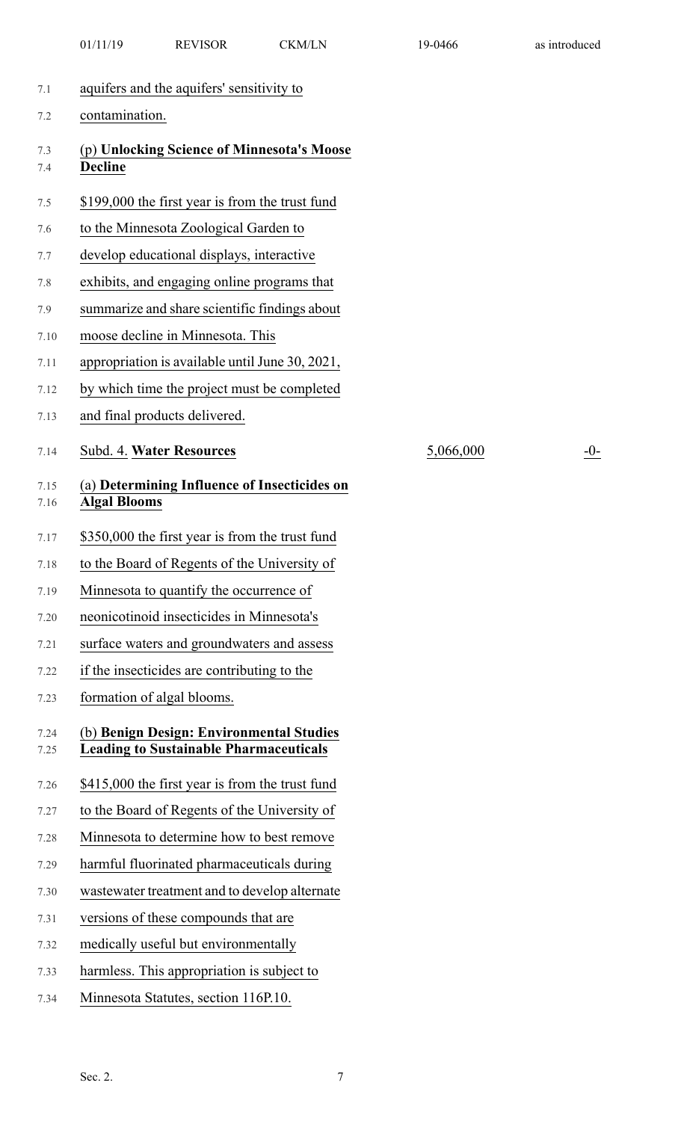|              | 01/11/19            | <b>REVISOR</b>                                                                            | <b>CKM/LN</b> | 19-0466   | as introduced |
|--------------|---------------------|-------------------------------------------------------------------------------------------|---------------|-----------|---------------|
| 7.1          |                     | aquifers and the aquifers' sensitivity to                                                 |               |           |               |
| 7.2          | contamination.      |                                                                                           |               |           |               |
| 7.3<br>7.4   | <b>Decline</b>      | (p) Unlocking Science of Minnesota's Moose                                                |               |           |               |
| 7.5          |                     | \$199,000 the first year is from the trust fund                                           |               |           |               |
| 7.6          |                     | to the Minnesota Zoological Garden to                                                     |               |           |               |
| 7.7          |                     | develop educational displays, interactive                                                 |               |           |               |
| 7.8          |                     | exhibits, and engaging online programs that                                               |               |           |               |
| 7.9          |                     | summarize and share scientific findings about                                             |               |           |               |
| 7.10         |                     | moose decline in Minnesota. This                                                          |               |           |               |
| 7.11         |                     | appropriation is available until June 30, 2021,                                           |               |           |               |
| 7.12         |                     | by which time the project must be completed                                               |               |           |               |
| 7.13         |                     | and final products delivered.                                                             |               |           |               |
| 7.14         |                     | Subd. 4. Water Resources                                                                  |               | 5,066,000 | $-0-$         |
| 7.15<br>7.16 | <b>Algal Blooms</b> | (a) Determining Influence of Insecticides on                                              |               |           |               |
| 7.17         |                     | \$350,000 the first year is from the trust fund                                           |               |           |               |
| 7.18         |                     | to the Board of Regents of the University of                                              |               |           |               |
| 7.19         |                     | Minnesota to quantify the occurrence of                                                   |               |           |               |
| 7.20         |                     | neonicotinoid insecticides in Minnesota's                                                 |               |           |               |
| 7.21         |                     | surface waters and groundwaters and assess                                                |               |           |               |
| 7.22         |                     | if the insecticides are contributing to the                                               |               |           |               |
| 7.23         |                     | formation of algal blooms.                                                                |               |           |               |
| 7.24<br>7.25 |                     | (b) Benign Design: Environmental Studies<br><b>Leading to Sustainable Pharmaceuticals</b> |               |           |               |
| 7.26         |                     | \$415,000 the first year is from the trust fund                                           |               |           |               |
| 7.27         |                     | to the Board of Regents of the University of                                              |               |           |               |
| 7.28         |                     | Minnesota to determine how to best remove                                                 |               |           |               |
| 7.29         |                     | harmful fluorinated pharmaceuticals during                                                |               |           |               |
| 7.30         |                     | wastewater treatment and to develop alternate                                             |               |           |               |
| 7.31         |                     | versions of these compounds that are                                                      |               |           |               |
| 7.32         |                     | medically useful but environmentally                                                      |               |           |               |
| 7.33         |                     | harmless. This appropriation is subject to                                                |               |           |               |
| 7.34         |                     | Minnesota Statutes, section 116P.10.                                                      |               |           |               |
|              |                     |                                                                                           |               |           |               |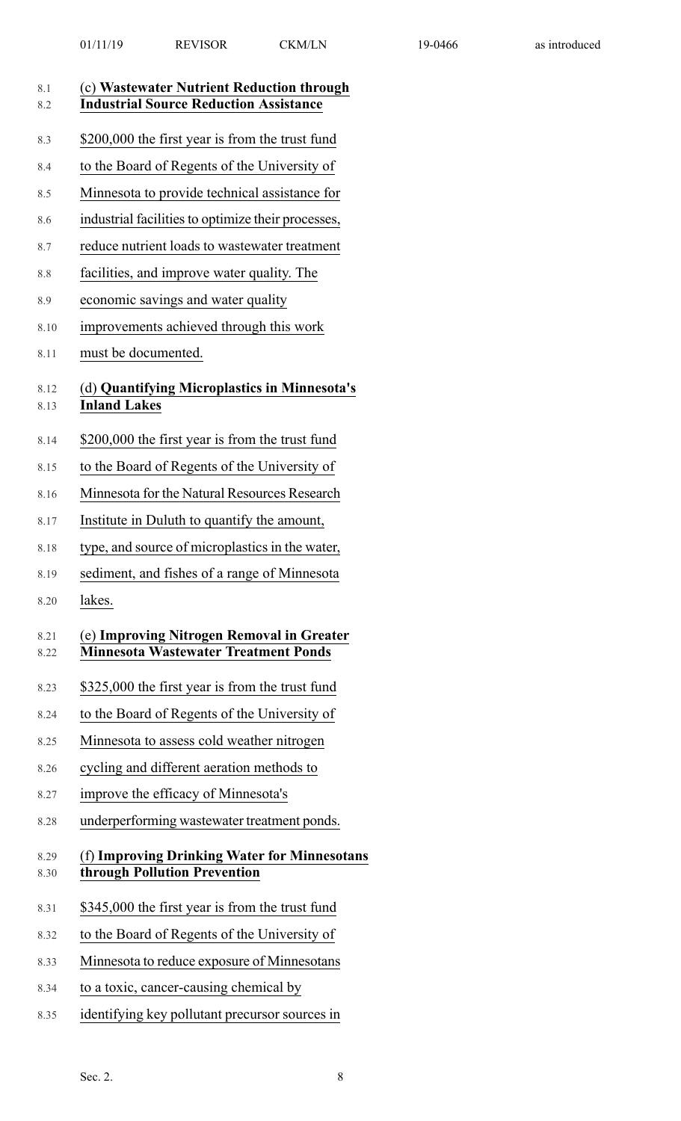| 8.1<br>8.2   | (c) Wastewater Nutrient Reduction through<br><b>Industrial Source Reduction Assistance</b> |
|--------------|--------------------------------------------------------------------------------------------|
| 8.3          | \$200,000 the first year is from the trust fund                                            |
| 8.4          | to the Board of Regents of the University of                                               |
| 8.5          | Minnesota to provide technical assistance for                                              |
| 8.6          | industrial facilities to optimize their processes,                                         |
| 8.7          | reduce nutrient loads to wastewater treatment                                              |
| 8.8          | facilities, and improve water quality. The                                                 |
| 8.9          | economic savings and water quality                                                         |
| 8.10         | improvements achieved through this work                                                    |
| 8.11         | must be documented.                                                                        |
| 8.12<br>8.13 | (d) Quantifying Microplastics in Minnesota's<br><b>Inland Lakes</b>                        |
| 8.14         | \$200,000 the first year is from the trust fund                                            |
| 8.15         | to the Board of Regents of the University of                                               |
| 8.16         | Minnesota for the Natural Resources Research                                               |
| 8.17         | Institute in Duluth to quantify the amount,                                                |
| 8.18         | type, and source of microplastics in the water,                                            |
| 8.19         | sediment, and fishes of a range of Minnesota                                               |
| 8.20         | lakes.                                                                                     |
| 8.21<br>8.22 | (e) Improving Nitrogen Removal in Greater<br><b>Minnesota Wastewater Treatment Ponds</b>   |
| 8.23         | \$325,000 the first year is from the trust fund                                            |
| 8.24         | to the Board of Regents of the University of                                               |
| 8.25         | Minnesota to assess cold weather nitrogen                                                  |
| 8.26         | cycling and different aeration methods to                                                  |
| 8.27         | improve the efficacy of Minnesota's                                                        |
| 8.28         | underperforming wastewater treatment ponds.                                                |
| 8.29<br>8.30 | (f) Improving Drinking Water for Minnesotans<br>through Pollution Prevention               |
| 8.31         | \$345,000 the first year is from the trust fund                                            |
| 8.32         | to the Board of Regents of the University of                                               |
| 8.33         | Minnesota to reduce exposure of Minnesotans                                                |
| 8.34         | to a toxic, cancer-causing chemical by                                                     |
| 8.35         | identifying key pollutant precursor sources in                                             |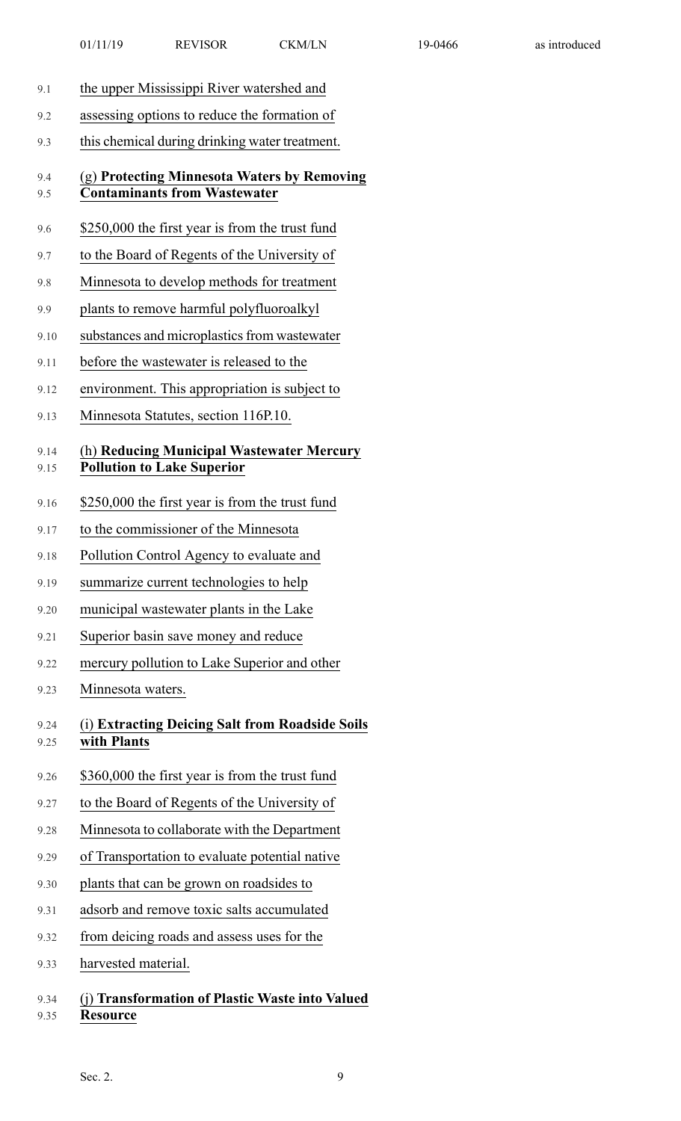| 9.1          | the upper Mississippi River watershed and                                          |
|--------------|------------------------------------------------------------------------------------|
| 9.2          | assessing options to reduce the formation of                                       |
| 9.3          | this chemical during drinking water treatment.                                     |
| 9.4<br>9.5   | (g) Protecting Minnesota Waters by Removing<br><b>Contaminants from Wastewater</b> |
| 9.6          | \$250,000 the first year is from the trust fund                                    |
| 9.7          | to the Board of Regents of the University of                                       |
| 9.8          | Minnesota to develop methods for treatment                                         |
| 9.9          | plants to remove harmful polyfluoroalkyl                                           |
| 9.10         | substances and microplastics from wastewater                                       |
| 9.11         | before the wastewater is released to the                                           |
| 9.12         | environment. This appropriation is subject to                                      |
| 9.13         | Minnesota Statutes, section 116P.10.                                               |
| 9.14<br>9.15 | (h) Reducing Municipal Wastewater Mercury<br><b>Pollution to Lake Superior</b>     |
| 9.16         | \$250,000 the first year is from the trust fund                                    |
| 9.17         | to the commissioner of the Minnesota                                               |
| 9.18         | Pollution Control Agency to evaluate and                                           |
| 9.19         | summarize current technologies to help                                             |
| 9.20         | municipal wastewater plants in the Lake                                            |
| 9.21         | Superior basin save money and reduce                                               |
| 9.22         | mercury pollution to Lake Superior and other                                       |
| 9.23         | Minnesota waters.                                                                  |
| 9.24<br>9.25 | (i) Extracting Deicing Salt from Roadside Soils<br>with Plants                     |
| 9.26         | \$360,000 the first year is from the trust fund                                    |
| 9.27         | to the Board of Regents of the University of                                       |
| 9.28         | Minnesota to collaborate with the Department                                       |
| 9.29         | of Transportation to evaluate potential native                                     |
| 9.30         | plants that can be grown on roadsides to                                           |
| 9.31         | adsorb and remove toxic salts accumulated                                          |
| 9.32         | from deicing roads and assess uses for the                                         |
| 9.33         | harvested material.                                                                |
| 9.34<br>9.35 | ) Transformation of Plastic Waste into Valued<br><b>Resource</b>                   |
|              |                                                                                    |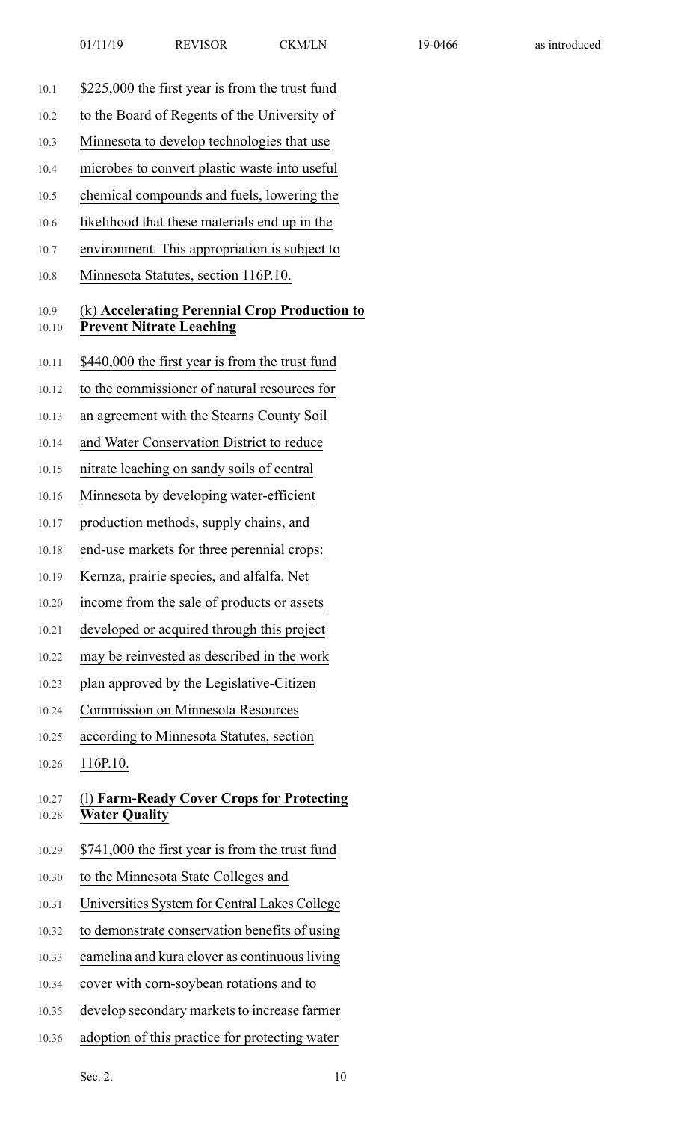| \$225,000 the first year is from the trust fund                                  |
|----------------------------------------------------------------------------------|
| to the Board of Regents of the University of                                     |
| Minnesota to develop technologies that use                                       |
| microbes to convert plastic waste into useful                                    |
| chemical compounds and fuels, lowering the                                       |
| likelihood that these materials end up in the                                    |
| environment. This appropriation is subject to                                    |
| Minnesota Statutes, section 116P.10.                                             |
| (k) Accelerating Perennial Crop Production to<br><b>Prevent Nitrate Leaching</b> |
| \$440,000 the first year is from the trust fund                                  |
| to the commissioner of natural resources for                                     |
| an agreement with the Stearns County Soil                                        |
| and Water Conservation District to reduce                                        |
| nitrate leaching on sandy soils of central                                       |
| Minnesota by developing water-efficient                                          |
| production methods, supply chains, and                                           |
| end-use markets for three perennial crops:                                       |
| Kernza, prairie species, and alfalfa. Net                                        |
| income from the sale of products or assets                                       |
| developed or acquired through this project                                       |
| may be reinvested as described in the work                                       |
| plan approved by the Legislative-Citizen                                         |
| <b>Commission on Minnesota Resources</b>                                         |
| according to Minnesota Statutes, section                                         |
| 116P.10.                                                                         |
| (1) Farm-Ready Cover Crops for Protecting<br><b>Water Quality</b>                |
| \$741,000 the first year is from the trust fund                                  |
| to the Minnesota State Colleges and                                              |
| Universities System for Central Lakes College                                    |
| to demonstrate conservation benefits of using                                    |
| camelina and kura clover as continuous living                                    |
| cover with corn-soybean rotations and to                                         |
| develop secondary markets to increase farmer                                     |
|                                                                                  |

10.36 adoption of this practice for protecting water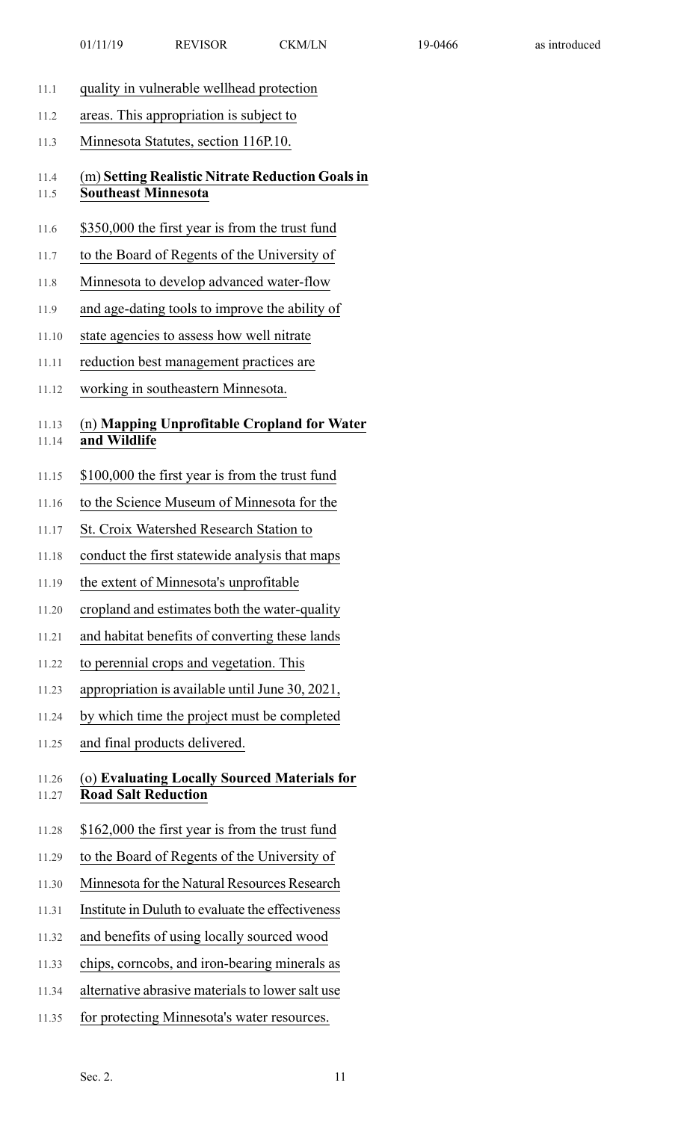- 11.1 quality in vulnerable wellhead protection
- 11.2 areas. This appropriation is subject to
- 11.3 Minnesota Statutes, section 116P.10.

11.4 (m) **Setting Realistic Nitrate Reduction Goalsin** 11.5 **Southeast Minnesota**

- 11.6 \$350,000 the first year is from the trust fund
- 11.7 to the Board of Regents of the University of
- 11.8 Minnesota to develop advanced water-flow
- 11.9 and age-dating tools to improve the ability of
- 11.10 state agencies to assess how well nitrate
- 11.11 reduction best management practices are
- 11.12 working in southeastern Minnesota.

## 11.13 (n) **Mapping Unprofitable Cropland for Water**

- 11.14 **and Wildlife**
- 11.15 \$100,000 the first year is from the trust fund
- 11.16 to the Science Museum of Minnesota for the
- 11.17 St. Croix Watershed Research Station to
- 11.18 conduct the first statewide analysis that maps
- 11.19 the extent of Minnesota's unprofitable
- 11.20 cropland and estimates both the water-quality
- 11.21 and habitat benefits of converting these lands
- 11.22 to perennial crops and vegetation. This
- 11.23 appropriation is available until June 30, 2021,
- 11.24 by which time the project must be completed
- 11.25 and final products delivered.

#### 11.26 (o) **Evaluating Locally Sourced Materials for** 11.27 **Road Salt Reduction**

- 11.28 \$162,000 the first year is from the trust fund
- 11.29 to the Board of Regents of the University of
- 11.30 Minnesota for the Natural Resources Research
- 11.31 Institute in Duluth to evaluate the effectiveness
- 11.32 and benefits of using locally sourced wood
- 11.33 chips, corncobs, and iron-bearing minerals as
- 11.34 alternative abrasive materials to lower salt use
- 11.35 for protecting Minnesota's water resources.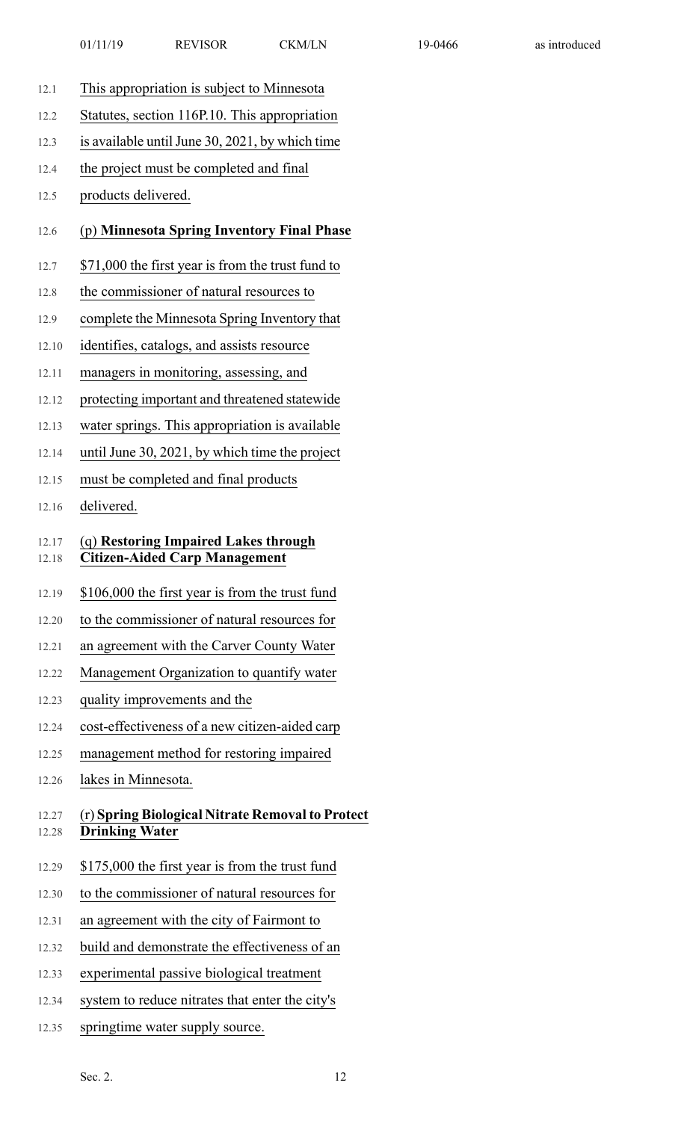- 12.1 This appropriation is subject to Minnesota
- 12.2 Statutes, section 116P.10. This appropriation
- 12.3 is available until June 30, 2021, by which time
- 12.4 the project must be completed and final
- 12.5 products delivered.

#### 12.6 (p) **Minnesota Spring Inventory Final Phase**

- 12.7 \$71,000 the first year is from the trust fund to
- 12.8 the commissioner of natural resources to
- 12.9 complete the Minnesota Spring Inventory that
- 12.10 identifies, catalogs, and assists resource
- 12.11 managers in monitoring, assessing, and
- 12.12 protecting important and threatened statewide
- 12.13 water springs. This appropriation is available
- 12.14 until June 30, 2021, by which time the project
- 12.15 must be completed and final products
- 12.16 delivered.

#### 12.17 (q) **Restoring Impaired Lakes through**

- 12.18 **Citizen-Aided Carp Management**
- 12.19 \$106,000 the first year is from the trust fund
- 12.20 to the commissioner of natural resources for
- 12.21 an agreement with the Carver County Water
- 12.22 Management Organization to quantify water
- 12.23 quality improvements and the
- 12.24 cost-effectiveness of a new citizen-aided carp
- 12.25 management method for restoring impaired
- 12.26 lakes in Minnesota.

#### 12.27 (r) **Spring Biological Nitrate Removal to Protect** 12.28 **Drinking Water**

- 12.29 \$175,000 the first year is from the trust fund
- 12.30 to the commissioner of natural resources for
- 12.31 an agreement with the city of Fairmont to
- 12.32 build and demonstrate the effectiveness of an
- 12.33 experimental passive biological treatment
- 12.34 system to reduce nitrates that enter the city's
- 12.35 springtime water supply source.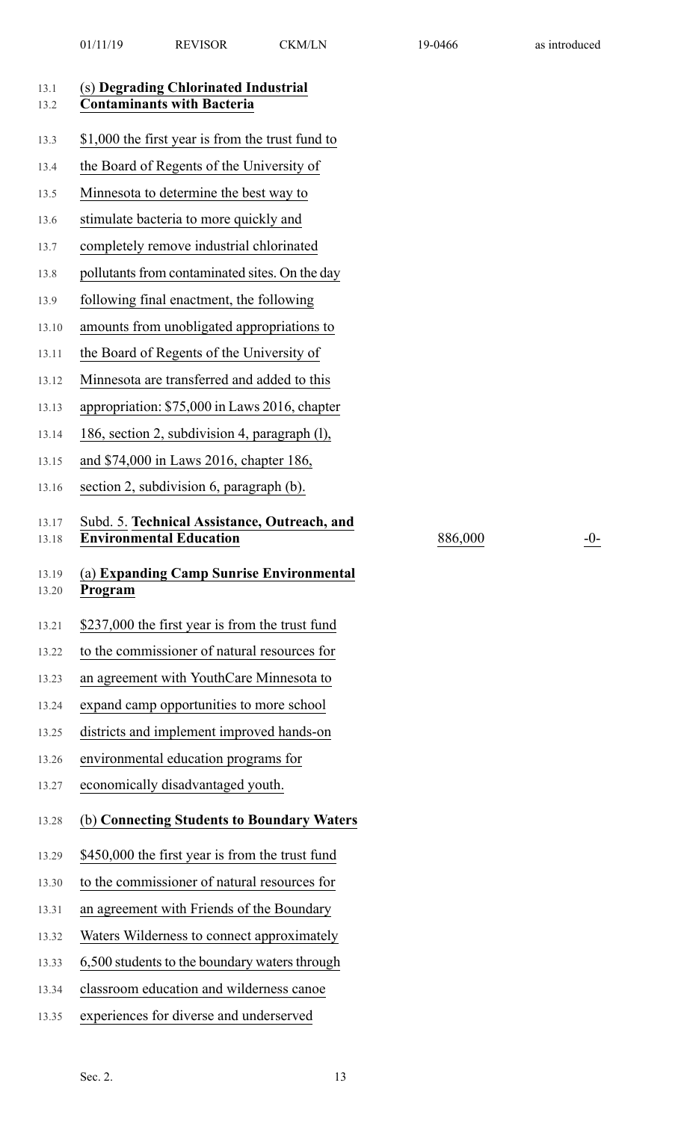| 13.1<br>13.2   | (s) Degrading Chlorinated Industrial<br><b>Contaminants with Bacteria</b>      |
|----------------|--------------------------------------------------------------------------------|
| 13.3           | \$1,000 the first year is from the trust fund to                               |
| 13.4           | the Board of Regents of the University of                                      |
| 13.5           | Minnesota to determine the best way to                                         |
| 13.6           | stimulate bacteria to more quickly and                                         |
| 13.7           | completely remove industrial chlorinated                                       |
| 13.8           | pollutants from contaminated sites. On the day                                 |
| 13.9           | following final enactment, the following                                       |
| 13.10          | amounts from unobligated appropriations to                                     |
| 13.11          | the Board of Regents of the University of                                      |
| 13.12          | Minnesota are transferred and added to this                                    |
| 13.13          | appropriation: \$75,000 in Laws 2016, chapter                                  |
| 13.14          | 186, section 2, subdivision 4, paragraph (1),                                  |
| 13.15          | and \$74,000 in Laws 2016, chapter 186,                                        |
| 13.16          | section 2, subdivision 6, paragraph (b).                                       |
| 13.17<br>13.18 | Subd. 5. Technical Assistance, Outreach, and<br><b>Environmental Education</b> |
|                |                                                                                |
| 13.19<br>13.20 | (a) Expanding Camp Sunrise Environmental<br>Program                            |
| 13.21          | \$237,000 the first year is from the trust fund                                |
| 13.22          | to the commissioner of natural resources for                                   |
| 13.23          | an agreement with YouthCare Minnesota to                                       |
| 13.24          | expand camp opportunities to more school                                       |
| 13.25          | districts and implement improved hands-on                                      |
| 13.26          | environmental education programs for                                           |
| 13.27          | economically disadvantaged youth.                                              |
| 13.28          | (b) Connecting Students to Boundary Waters                                     |
| 13.29          | \$450,000 the first year is from the trust fund                                |
| 13.30          | to the commissioner of natural resources for                                   |
| 13.31          | an agreement with Friends of the Boundary                                      |
| 13.32          | Waters Wilderness to connect approximately                                     |
| 13.33          | 6,500 students to the boundary waters through                                  |
| 13.34          | classroom education and wilderness canoe                                       |

 $886,000$  -0-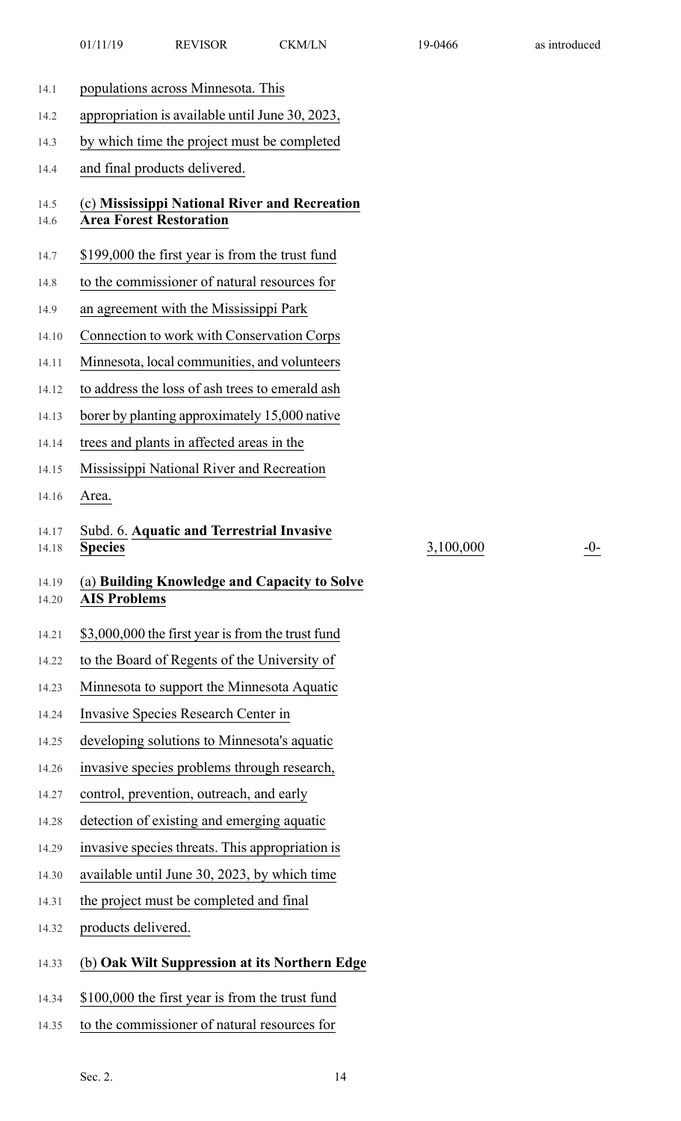| 14.1           | populations across Minnesota. This                                              |
|----------------|---------------------------------------------------------------------------------|
| 14.2           | appropriation is available until June 30, 2023,                                 |
| 14.3           | by which time the project must be completed                                     |
| 14.4           | and final products delivered.                                                   |
| 14.5<br>14.6   | (c) Mississippi National River and Recreation<br><b>Area Forest Restoration</b> |
| 14.7           | \$199,000 the first year is from the trust fund                                 |
| 14.8           | to the commissioner of natural resources for                                    |
| 14.9           | an agreement with the Mississippi Park                                          |
| 14.10          | Connection to work with Conservation Corps                                      |
| 14.11          | Minnesota, local communities, and volunteers                                    |
| 14.12          | to address the loss of ash trees to emerald ash                                 |
| 14.13          | borer by planting approximately 15,000 native                                   |
| 14.14          | trees and plants in affected areas in the                                       |
| 14.15          | Mississippi National River and Recreation                                       |
| 14.16          | Area.                                                                           |
| 14.17          | Subd. 6. Aquatic and Terrestrial Invasive                                       |
| 14.18          | <b>Species</b><br>3,100,0                                                       |
| 14.19<br>14.20 | (a) Building Knowledge and Capacity to Solve<br><b>AIS Problems</b>             |
| 14.21          | \$3,000,000 the first year is from the trust fund                               |
| 14.22          | to the Board of Regents of the University of                                    |
| 14.23          | Minnesota to support the Minnesota Aquatic                                      |
| 14.24          | Invasive Species Research Center in                                             |
| 14.25          | developing solutions to Minnesota's aquatic                                     |
| 14.26          | invasive species problems through research,                                     |
| 14.27          | control, prevention, outreach, and early                                        |
| 14.28          | detection of existing and emerging aquatic                                      |
| 14.29          | invasive species threats. This appropriation is                                 |
| 14.30          | available until June 30, 2023, by which time                                    |
| 14.31          | the project must be completed and final                                         |
| 14.32          | products delivered.                                                             |
| 14.33          | (b) Oak Wilt Suppression at its Northern Edge                                   |
| 14.34          | \$100,000 the first year is from the trust fund                                 |

 $\frac{300}{-0}$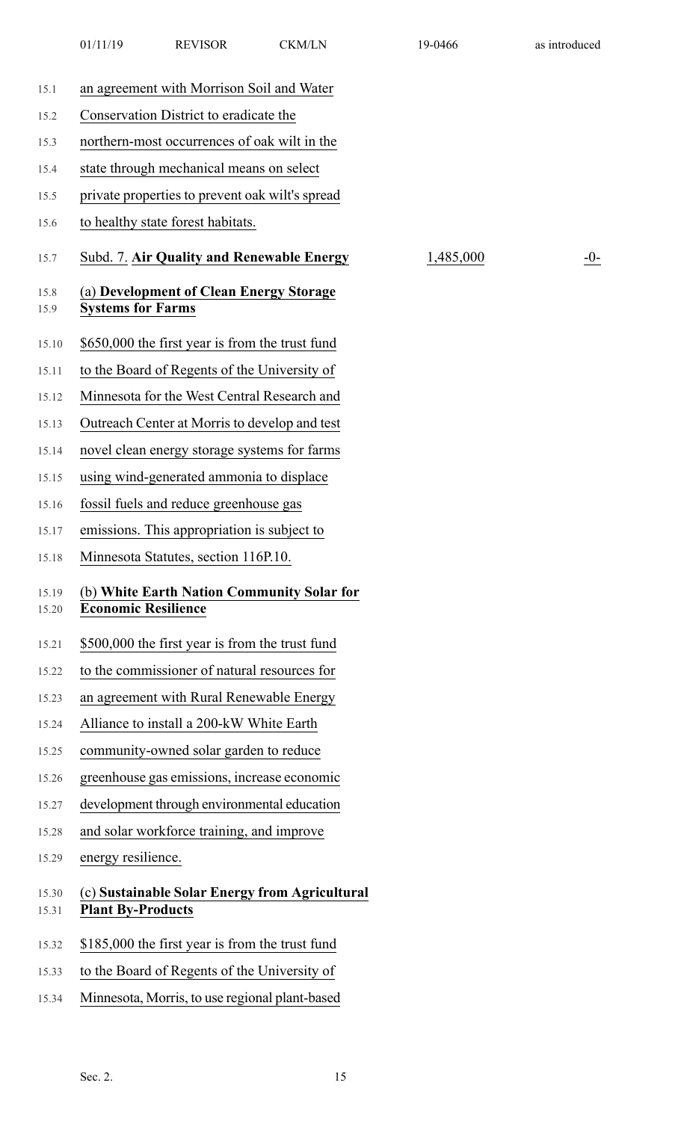| 15.1           | an agreement with Morrison Soil and Water                                  |           |     |
|----------------|----------------------------------------------------------------------------|-----------|-----|
| 15.2           | Conservation District to eradicate the                                     |           |     |
| 15.3           | northern-most occurrences of oak wilt in the                               |           |     |
| 15.4           | state through mechanical means on select                                   |           |     |
| 15.5           | private properties to prevent oak wilt's spread                            |           |     |
| 15.6           | to healthy state forest habitats.                                          |           |     |
| 15.7           | Subd. 7. Air Quality and Renewable Energy                                  | 1,485,000 | -0- |
| 15.8<br>15.9   | (a) Development of Clean Energy Storage<br><b>Systems for Farms</b>        |           |     |
| 15.10          | \$650,000 the first year is from the trust fund                            |           |     |
| 15.11          | to the Board of Regents of the University of                               |           |     |
| 15.12          | Minnesota for the West Central Research and                                |           |     |
| 15.13          | Outreach Center at Morris to develop and test                              |           |     |
| 15.14          | novel clean energy storage systems for farms                               |           |     |
| 15.15          | using wind-generated ammonia to displace                                   |           |     |
| 15.16          | fossil fuels and reduce greenhouse gas                                     |           |     |
| 15.17          | emissions. This appropriation is subject to                                |           |     |
| 15.18          | Minnesota Statutes, section 116P.10.                                       |           |     |
| 15.19<br>15.20 | (b) White Earth Nation Community Solar for<br><b>Economic Resilience</b>   |           |     |
| 15.21          | \$500,000 the first year is from the trust fund                            |           |     |
| 15.22          | to the commissioner of natural resources for                               |           |     |
| 15.23          | an agreement with Rural Renewable Energy                                   |           |     |
| 15.24          | Alliance to install a 200-kW White Earth                                   |           |     |
| 15.25          | community-owned solar garden to reduce                                     |           |     |
| 15.26          | greenhouse gas emissions, increase economic                                |           |     |
| 15.27          | development through environmental education                                |           |     |
| 15.28          | and solar workforce training, and improve                                  |           |     |
| 15.29          | energy resilience.                                                         |           |     |
| 15.30<br>15.31 | (c) Sustainable Solar Energy from Agricultural<br><b>Plant By-Products</b> |           |     |
| 15.32          | \$185,000 the first year is from the trust fund                            |           |     |
| 15.33          | to the Board of Regents of the University of                               |           |     |

15.34 Minnesota, Morris, to use regional plant-based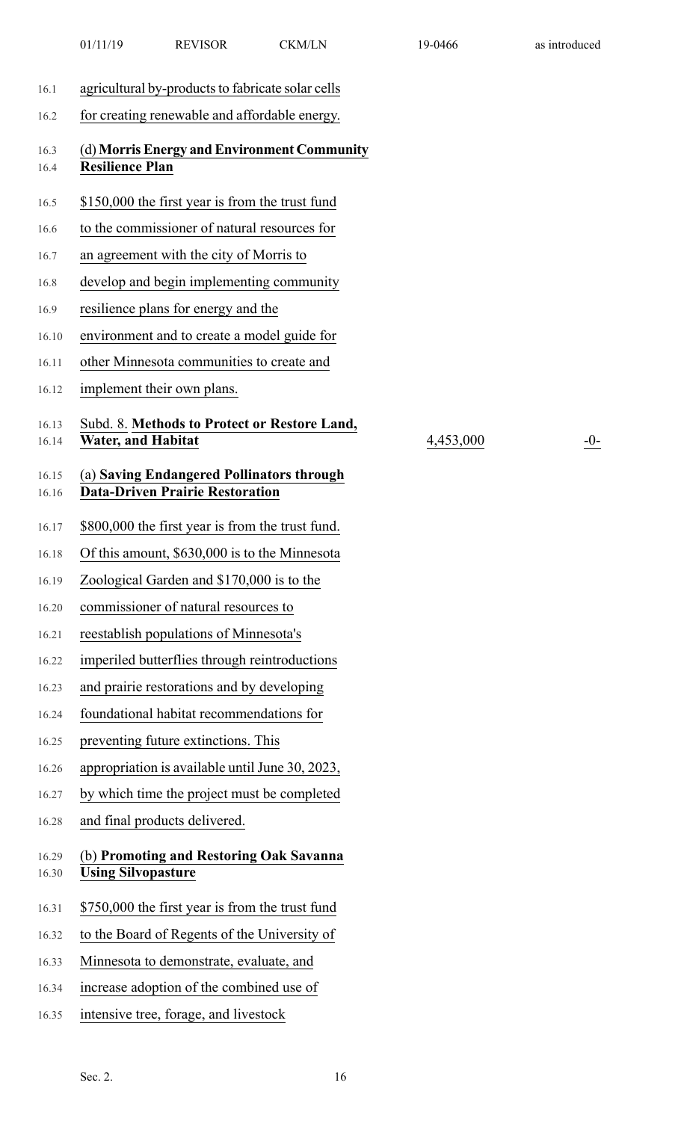|                | 01/11/19                  | <b>REVISOR</b>                                                                      | <b>CKM/LN</b>                                | 19-0466   | as introduced |
|----------------|---------------------------|-------------------------------------------------------------------------------------|----------------------------------------------|-----------|---------------|
| 16.1           |                           | agricultural by-products to fabricate solar cells                                   |                                              |           |               |
| 16.2           |                           | for creating renewable and affordable energy.                                       |                                              |           |               |
| 16.3<br>16.4   | <b>Resilience Plan</b>    |                                                                                     | (d) Morris Energy and Environment Community  |           |               |
| 16.5           |                           | \$150,000 the first year is from the trust fund                                     |                                              |           |               |
| 16.6           |                           | to the commissioner of natural resources for                                        |                                              |           |               |
| 16.7           |                           | an agreement with the city of Morris to                                             |                                              |           |               |
| 16.8           |                           | develop and begin implementing community                                            |                                              |           |               |
| 16.9           |                           | resilience plans for energy and the                                                 |                                              |           |               |
| 16.10          |                           | environment and to create a model guide for                                         |                                              |           |               |
| 16.11          |                           | other Minnesota communities to create and                                           |                                              |           |               |
| 16.12          |                           | implement their own plans.                                                          |                                              |           |               |
| 16.13<br>16.14 | <b>Water, and Habitat</b> |                                                                                     | Subd. 8. Methods to Protect or Restore Land, | 4,453,000 | $-0-$         |
| 16.15<br>16.16 |                           | (a) Saving Endangered Pollinators through<br><b>Data-Driven Prairie Restoration</b> |                                              |           |               |
| 16.17          |                           | \$800,000 the first year is from the trust fund.                                    |                                              |           |               |
| 16.18          |                           | Of this amount, \$630,000 is to the Minnesota                                       |                                              |           |               |
| 16.19          |                           | Zoological Garden and \$170,000 is to the                                           |                                              |           |               |
| 16.20          |                           | commissioner of natural resources to                                                |                                              |           |               |
| 16.21          |                           | reestablish populations of Minnesota's                                              |                                              |           |               |
| 16.22          |                           | imperiled butterflies through reintroductions                                       |                                              |           |               |
| 16.23          |                           | and prairie restorations and by developing                                          |                                              |           |               |
| 16.24          |                           | foundational habitat recommendations for                                            |                                              |           |               |
| 16.25          |                           | preventing future extinctions. This                                                 |                                              |           |               |
| 16.26          |                           | appropriation is available until June 30, 2023,                                     |                                              |           |               |
| 16.27          |                           | by which time the project must be completed                                         |                                              |           |               |
| 16.28          |                           | and final products delivered.                                                       |                                              |           |               |
| 16.29<br>16.30 | <b>Using Silvopasture</b> | (b) Promoting and Restoring Oak Savanna                                             |                                              |           |               |
| 16.31          |                           | \$750,000 the first year is from the trust fund                                     |                                              |           |               |
| 16.32          |                           | to the Board of Regents of the University of                                        |                                              |           |               |
| 16.33          |                           | Minnesota to demonstrate, evaluate, and                                             |                                              |           |               |
| 16.34          |                           | increase adoption of the combined use of                                            |                                              |           |               |
| 16.35          |                           | intensive tree, forage, and livestock                                               |                                              |           |               |
|                |                           |                                                                                     |                                              |           |               |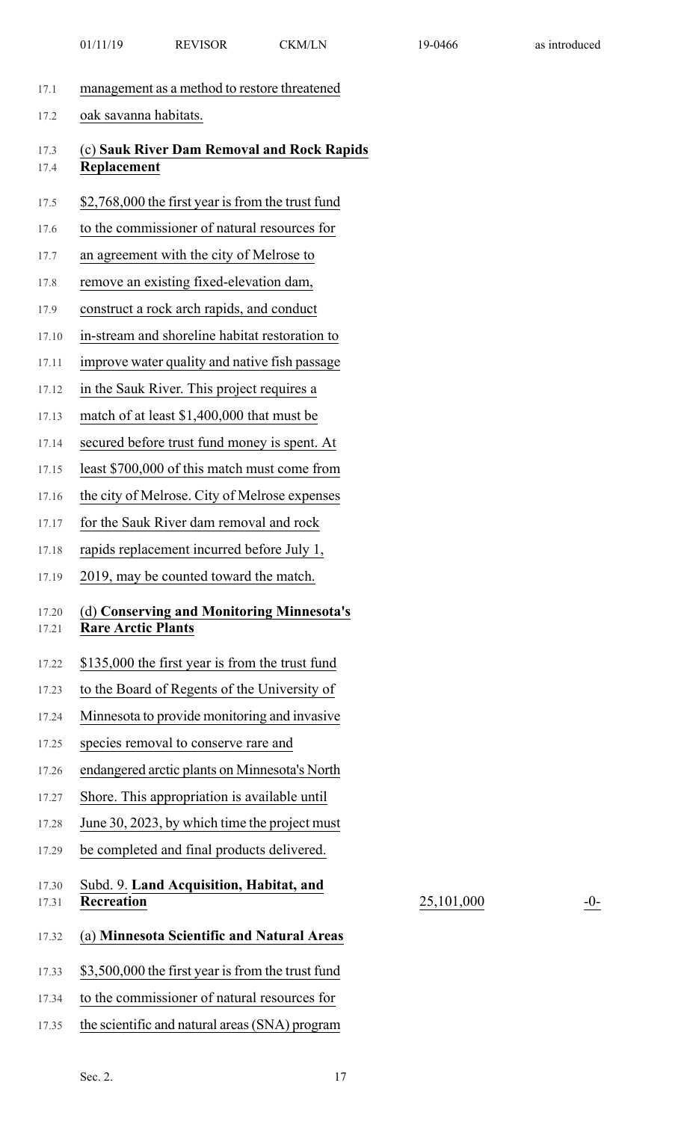- 17.1 management as a method to restore threatened
- 17.2 oak savanna habitats.
- 17.3 (c) **Sauk River Dam Removal and Rock Rapids** 17.4 **Replacement**
- 17.5 \$2,768,000 the first year is from the trust fund
- 17.6 to the commissioner of natural resources for
- 17.7 an agreement with the city of Melrose to
- 17.8 remove an existing fixed-elevation dam,
- 17.9 construct a rock arch rapids, and conduct
- 17.10 in-stream and shoreline habitat restoration to
- 17.11 improve water quality and native fish passage
- 17.12 in the Sauk River. This project requires a
- 17.13 match of at least \$1,400,000 that must be
- 17.14 secured before trust fund money is spent. At
- 17.15 least \$700,000 of this match must come from
- 17.16 the city of Melrose. City of Melrose expenses
- 17.17 for the Sauk River dam removal and rock
- 17.18 rapids replacement incurred before July 1,
- 17.19 2019, may be counted toward the match.

#### 17.20 (d) **Conserving and Monitoring Minnesota's** 17.21 **Rare Arctic Plants**

- 17.22 \$135,000 the first year is from the trust fund
- 17.23 to the Board of Regents of the University of
- 17.24 Minnesota to provide monitoring and invasive
- 17.25 species removal to conserve rare and
- 17.26 endangered arctic plants on Minnesota's North
- 17.27 Shore. This appropriation is available until
- 17.28 June 30, 2023, by which time the project must
- 17.29 be completed and final products delivered.
- 17.30 Subd. 9. **Land Acquisition, Habitat, and** 17.31 **Recreation**

17.32 (a) **Minnesota Scientific and Natural Areas**

17.33 \$3,500,000 the first year is from the trust fund

17.34 to the commissioner of natural resources for

17.35 the scientific and natural areas(SNA) program

25,101,000 -0-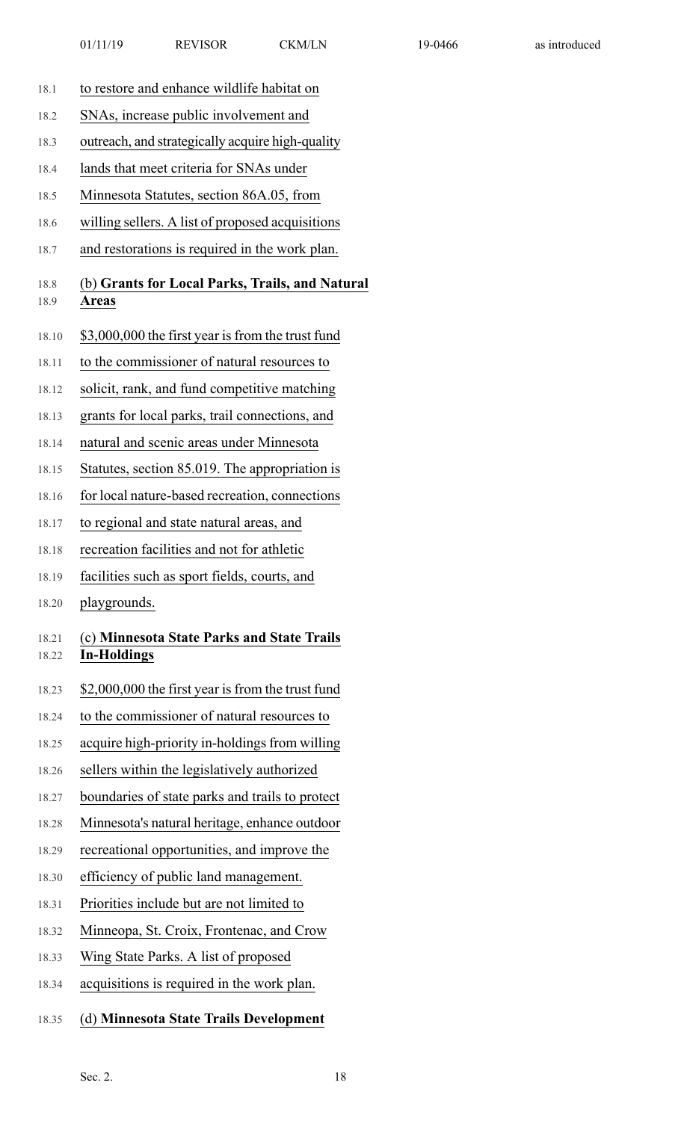| 18.1           | to restore and enhance wildlife habitat on                       |
|----------------|------------------------------------------------------------------|
| 18.2           | SNAs, increase public involvement and                            |
| 18.3           | outreach, and strategically acquire high-quality                 |
| 18.4           | lands that meet criteria for SNAs under                          |
| 18.5           | Minnesota Statutes, section 86A.05, from                         |
| 18.6           | willing sellers. A list of proposed acquisitions                 |
| 18.7           | and restorations is required in the work plan.                   |
| 18.8<br>18.9   | (b) Grants for Local Parks, Trails, and Natural<br><b>Areas</b>  |
| 18.10          | \$3,000,000 the first year is from the trust fund                |
| 18.11          | to the commissioner of natural resources to                      |
| 18.12          | solicit, rank, and fund competitive matching                     |
| 18.13          | grants for local parks, trail connections, and                   |
| 18.14          | natural and scenic areas under Minnesota                         |
| 18.15          | Statutes, section 85.019. The appropriation is                   |
| 18.16          | for local nature-based recreation, connections                   |
| 18.17          | to regional and state natural areas, and                         |
| 18.18          | recreation facilities and not for athletic                       |
| 18.19          | facilities such as sport fields, courts, and                     |
| 18.20          | playgrounds.                                                     |
| 18.21<br>18.22 | (c) Minnesota State Parks and State Trails<br><b>In-Holdings</b> |
| 18.23          | \$2,000,000 the first year is from the trust fund                |
| 18.24          | to the commissioner of natural resources to                      |
| 18.25          | acquire high-priority in-holdings from willing                   |
| 18.26          | sellers within the legislatively authorized                      |
| 18.27          | boundaries of state parks and trails to protect                  |
| 18.28          | Minnesota's natural heritage, enhance outdoor                    |
| 18.29          | recreational opportunities, and improve the                      |
| 18.30          | efficiency of public land management.                            |
| 18.31          | Priorities include but are not limited to                        |
| 18.32          | Minneopa, St. Croix, Frontenac, and Crow                         |
| 18.33          | Wing State Parks. A list of proposed                             |
| 18.34          | acquisitions is required in the work plan.                       |
| 18.35          | (d) Minnesota State Trails Development                           |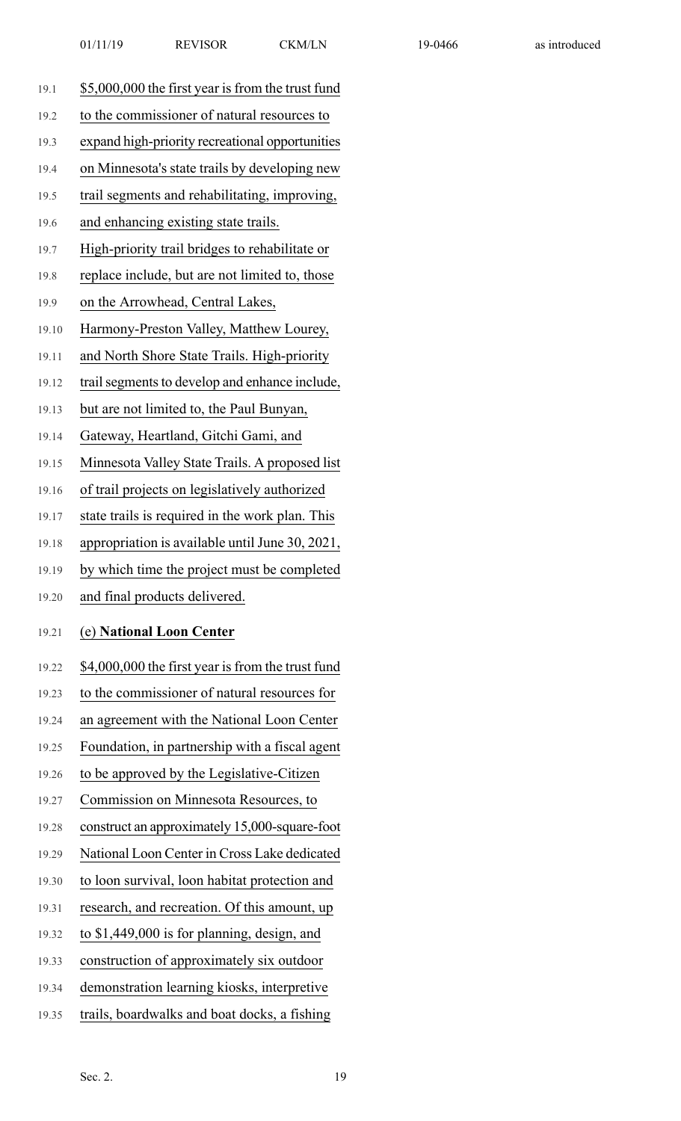| 19.1 |  |  |  | \$5,000,000 the first year is from the trust fund |
|------|--|--|--|---------------------------------------------------|
|------|--|--|--|---------------------------------------------------|

- 19.2 to the commissioner of natural resources to
- 19.3 expand high-priority recreational opportunities
- 19.4 on Minnesota's state trails by developing new
- 19.5 trail segments and rehabilitating, improving,
- 19.6 and enhancing existing state trails.
- 19.7 High-priority trail bridges to rehabilitate or
- 19.8 replace include, but are not limited to, those
- 19.9 on the Arrowhead, Central Lakes,
- 19.10 Harmony-Preston Valley, Matthew Lourey,
- 19.11 and North Shore State Trails. High-priority
- 19.12 trail segments to develop and enhance include,
- 19.13 but are not limited to, the Paul Bunyan,
- 19.14 Gateway, Heartland, Gitchi Gami, and
- 19.15 Minnesota Valley State Trails. A proposed list
- 19.16 of trail projects on legislatively authorized
- 19.17 state trails is required in the work plan. This
- 19.18 appropriation is available until June 30, 2021,
- 19.19 by which time the project must be completed
- 19.20 and final products delivered.

#### 19.21 (e) **National Loon Center**

- 19.22 \$4,000,000 the first year is from the trust fund
- 19.23 to the commissioner of natural resources for
- 19.24 an agreement with the National Loon Center
- 19.25 Foundation, in partnership with a fiscal agent
- 19.26 to be approved by the Legislative-Citizen
- 19.27 Commission on Minnesota Resources, to
- 19.28 construct an approximately 15,000-square-foot
- 19.29 National Loon Center in Cross Lake dedicated
- 19.30 to loon survival, loon habitat protection and
- 19.31 research, and recreation. Of this amount, up
- 19.32 to \$1,449,000 is for planning, design, and
- 19.33 construction of approximately six outdoor
- 19.34 demonstration learning kiosks, interpretive
- 19.35 trails, boardwalks and boat docks, a fishing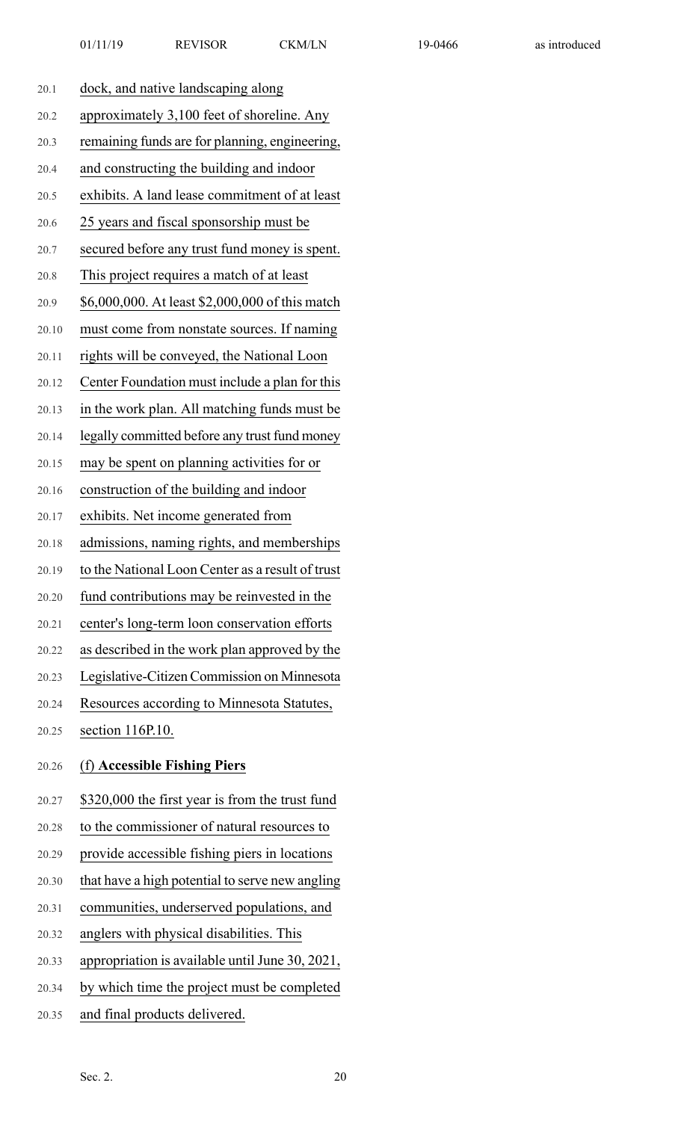| 20.1  | dock, and native landscaping along               |
|-------|--------------------------------------------------|
| 20.2  | approximately 3,100 feet of shoreline. Any       |
| 20.3  | remaining funds are for planning, engineering,   |
| 20.4  | and constructing the building and indoor         |
| 20.5  | exhibits. A land lease commitment of at least    |
| 20.6  | 25 years and fiscal sponsorship must be          |
| 20.7  | secured before any trust fund money is spent.    |
| 20.8  | This project requires a match of at least        |
| 20.9  | \$6,000,000. At least \$2,000,000 of this match  |
| 20.10 | must come from nonstate sources. If naming       |
| 20.11 | rights will be conveyed, the National Loon       |
| 20.12 | Center Foundation must include a plan for this   |
| 20.13 | in the work plan. All matching funds must be     |
| 20.14 | legally committed before any trust fund money    |
| 20.15 | may be spent on planning activities for or       |
| 20.16 | construction of the building and indoor          |
| 20.17 | exhibits. Net income generated from              |
| 20.18 | admissions, naming rights, and memberships       |
| 20.19 | to the National Loon Center as a result of trust |
| 20.20 | fund contributions may be reinvested in the      |
| 20.21 | center's long-term loon conservation efforts     |
| 20.22 | as described in the work plan approved by the    |
| 20.23 | Legislative-Citizen Commission on Minnesota      |
| 20.24 | Resources according to Minnesota Statutes,       |
| 20.25 | section 116P.10.                                 |
| 20.26 | (f) Accessible Fishing Piers                     |
| 20.27 | \$320,000 the first year is from the trust fund  |
| 20.28 | to the commissioner of natural resources to      |
| 20.29 | provide accessible fishing piers in locations    |
| 20.30 | that have a high potential to serve new angling  |
| 20.31 | communities, underserved populations, and        |
| 20.32 | anglers with physical disabilities. This         |

- 20.33 appropriation is available until June 30, 2021,
- 20.34 by which time the project must be completed
- 20.35 and final products delivered.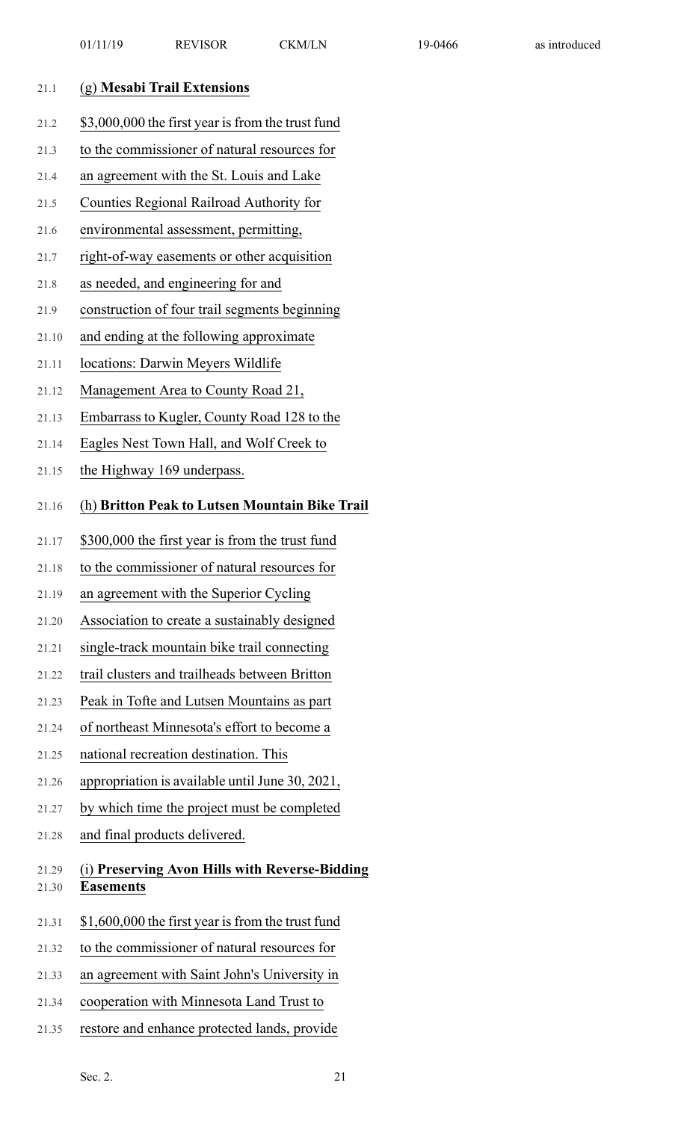| \$3,000,000 the first year is from the trust fund<br>to the commissioner of natural resources for<br>an agreement with the St. Louis and Lake<br>Counties Regional Railroad Authority for<br>environmental assessment, permitting, |
|------------------------------------------------------------------------------------------------------------------------------------------------------------------------------------------------------------------------------------|
|                                                                                                                                                                                                                                    |
|                                                                                                                                                                                                                                    |
|                                                                                                                                                                                                                                    |
|                                                                                                                                                                                                                                    |
|                                                                                                                                                                                                                                    |
| right-of-way easements or other acquisition                                                                                                                                                                                        |
|                                                                                                                                                                                                                                    |
| construction of four trail segments beginning                                                                                                                                                                                      |
| and ending at the following approximate                                                                                                                                                                                            |
|                                                                                                                                                                                                                                    |
| Management Area to County Road 21,                                                                                                                                                                                                 |
| Embarrass to Kugler, County Road 128 to the                                                                                                                                                                                        |
| Eagles Nest Town Hall, and Wolf Creek to                                                                                                                                                                                           |
|                                                                                                                                                                                                                                    |
| (h) Britton Peak to Lutsen Mountain Bike Trail                                                                                                                                                                                     |
| \$300,000 the first year is from the trust fund                                                                                                                                                                                    |
| to the commissioner of natural resources for                                                                                                                                                                                       |
| an agreement with the Superior Cycling                                                                                                                                                                                             |
| Association to create a sustainably designed                                                                                                                                                                                       |
| single-track mountain bike trail connecting                                                                                                                                                                                        |
| trail clusters and trailheads between Britton                                                                                                                                                                                      |
| Peak in Tofte and Lutsen Mountains as part                                                                                                                                                                                         |
| of northeast Minnesota's effort to become a                                                                                                                                                                                        |
|                                                                                                                                                                                                                                    |
| appropriation is available until June 30, 2021,                                                                                                                                                                                    |
| by which time the project must be completed                                                                                                                                                                                        |
|                                                                                                                                                                                                                                    |
| (i) Preserving Avon Hills with Reverse-Bidding                                                                                                                                                                                     |
| \$1,600,000 the first year is from the trust fund                                                                                                                                                                                  |
| to the commissioner of natural resources for                                                                                                                                                                                       |
| an agreement with Saint John's University in                                                                                                                                                                                       |
| cooperation with Minnesota Land Trust to                                                                                                                                                                                           |
|                                                                                                                                                                                                                                    |

21.35 restore and enhance protected lands, provide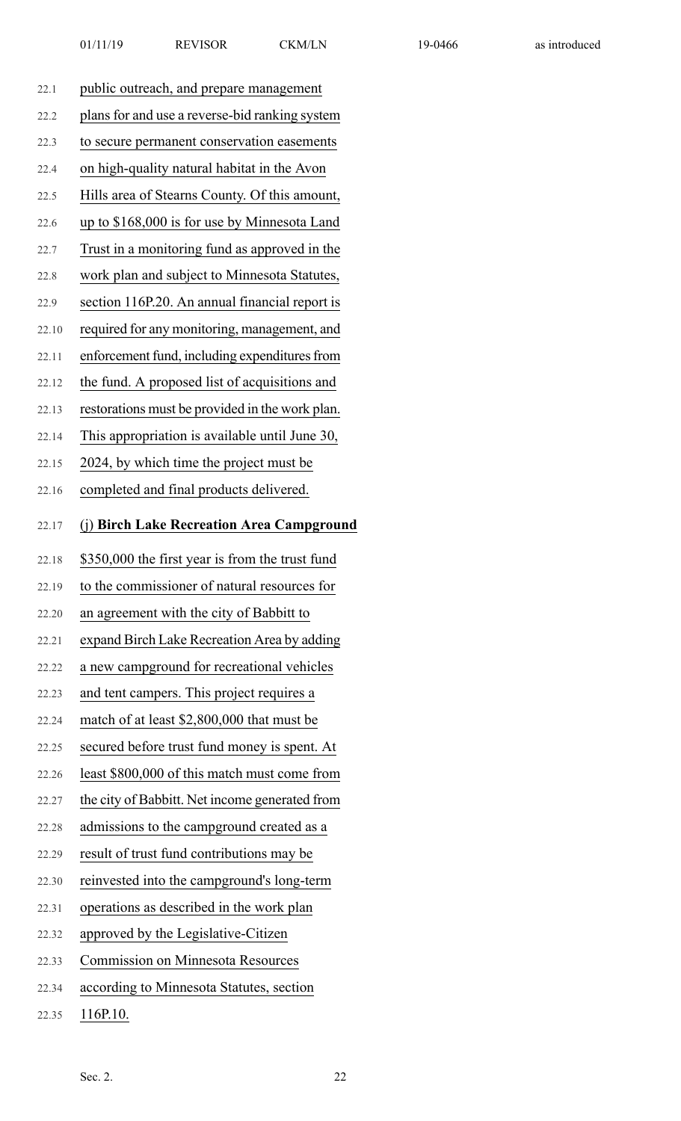| 22.1  | public outreach, and prepare management         |
|-------|-------------------------------------------------|
| 22.2  | plans for and use a reverse-bid ranking system  |
| 22.3  | to secure permanent conservation easements      |
| 22.4  | on high-quality natural habitat in the Avon     |
| 22.5  | Hills area of Stearns County. Of this amount,   |
| 22.6  | up to \$168,000 is for use by Minnesota Land    |
| 22.7  | Trust in a monitoring fund as approved in the   |
| 22.8  | work plan and subject to Minnesota Statutes,    |
| 22.9  | section 116P.20. An annual financial report is  |
| 22.10 | required for any monitoring, management, and    |
| 22.11 | enforcement fund, including expenditures from   |
| 22.12 | the fund. A proposed list of acquisitions and   |
| 22.13 | restorations must be provided in the work plan. |
| 22.14 | This appropriation is available until June 30,  |
| 22.15 | 2024, by which time the project must be         |
| 22.16 | completed and final products delivered.         |
| 22.17 | (j) Birch Lake Recreation Area Campground       |
|       |                                                 |
| 22.18 | \$350,000 the first year is from the trust fund |
| 22.19 | to the commissioner of natural resources for    |
| 22.20 | an agreement with the city of Babbitt to        |
| 22.21 | expand Birch Lake Recreation Area by adding     |
| 22.22 | a new campground for recreational vehicles      |
| 22.23 | and tent campers. This project requires a       |
| 22.24 | match of at least \$2,800,000 that must be      |
| 22.25 | secured before trust fund money is spent. At    |
| 22.26 | least \$800,000 of this match must come from    |
| 22.27 | the city of Babbitt. Net income generated from  |
| 22.28 | admissions to the campground created as a       |
| 22.29 | result of trust fund contributions may be       |
| 22.30 | reinvested into the campground's long-term      |
| 22.31 | operations as described in the work plan        |
| 22.32 | approved by the Legislative-Citizen             |
| 22.33 | <b>Commission on Minnesota Resources</b>        |
| 22.34 | according to Minnesota Statutes, section        |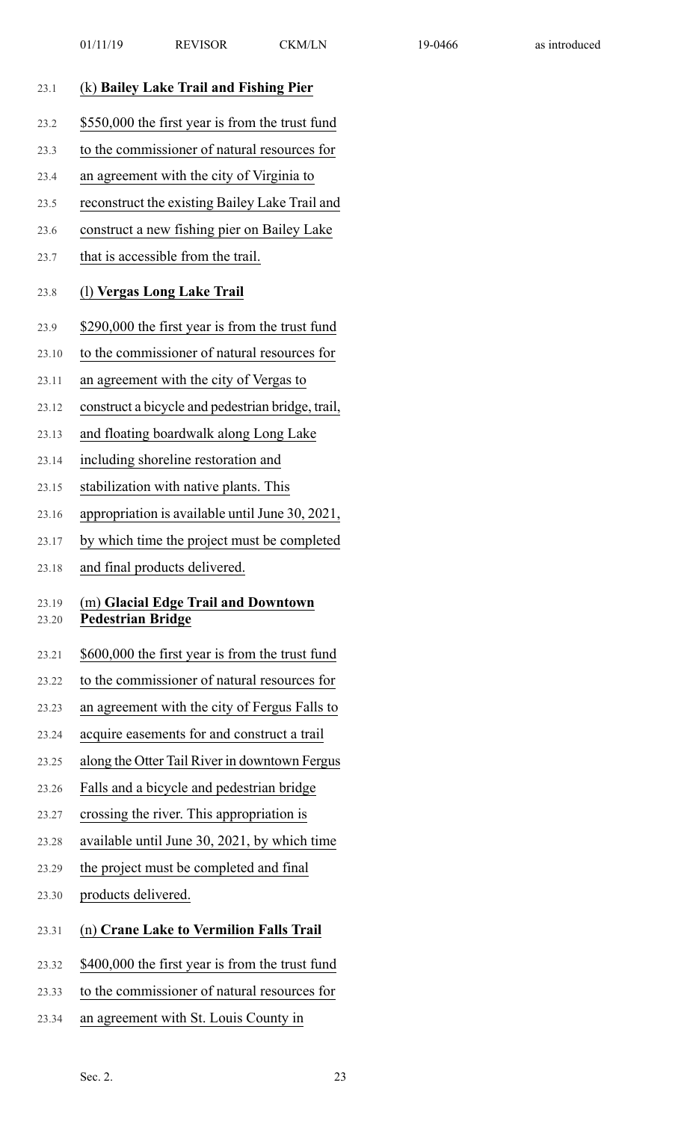| 23.1           | (k) Bailey Lake Trail and Fishing Pier                          |
|----------------|-----------------------------------------------------------------|
| 23.2           | \$550,000 the first year is from the trust fund                 |
| 23.3           | to the commissioner of natural resources for                    |
| 23.4           | an agreement with the city of Virginia to                       |
| 23.5           | reconstruct the existing Bailey Lake Trail and                  |
| 23.6           | construct a new fishing pier on Bailey Lake                     |
| 23.7           | that is accessible from the trail.                              |
| 23.8           | (1) Vergas Long Lake Trail                                      |
| 23.9           | \$290,000 the first year is from the trust fund                 |
| 23.10          | to the commissioner of natural resources for                    |
| 23.11          | an agreement with the city of Vergas to                         |
| 23.12          | construct a bicycle and pedestrian bridge, trail,               |
| 23.13          | and floating boardwalk along Long Lake                          |
| 23.14          | including shoreline restoration and                             |
| 23.15          | stabilization with native plants. This                          |
| 23.16          | appropriation is available until June 30, 2021,                 |
| 23.17          | by which time the project must be completed                     |
| 23.18          | and final products delivered.                                   |
| 23.19<br>23.20 | (m) Glacial Edge Trail and Downtown<br><b>Pedestrian Bridge</b> |
| 23.21          | \$600,000 the first year is from the trust fund                 |
| 23.22          | to the commissioner of natural resources for                    |
| 23.23          | an agreement with the city of Fergus Falls to                   |
| 23.24          | acquire easements for and construct a trail                     |
| 23.25          | along the Otter Tail River in downtown Fergus                   |
| 23.26          | Falls and a bicycle and pedestrian bridge                       |
| 23.27          | crossing the river. This appropriation is                       |
| 23.28          | available until June 30, 2021, by which time                    |
| 23.29          | the project must be completed and final                         |
| 23.30          | products delivered.                                             |
| 23.31          | (n) Crane Lake to Vermilion Falls Trail                         |
| 23.32          | \$400,000 the first year is from the trust fund                 |

- 23.33 to the commissioner of natural resources for
- 23.34 an agreement with St. Louis County in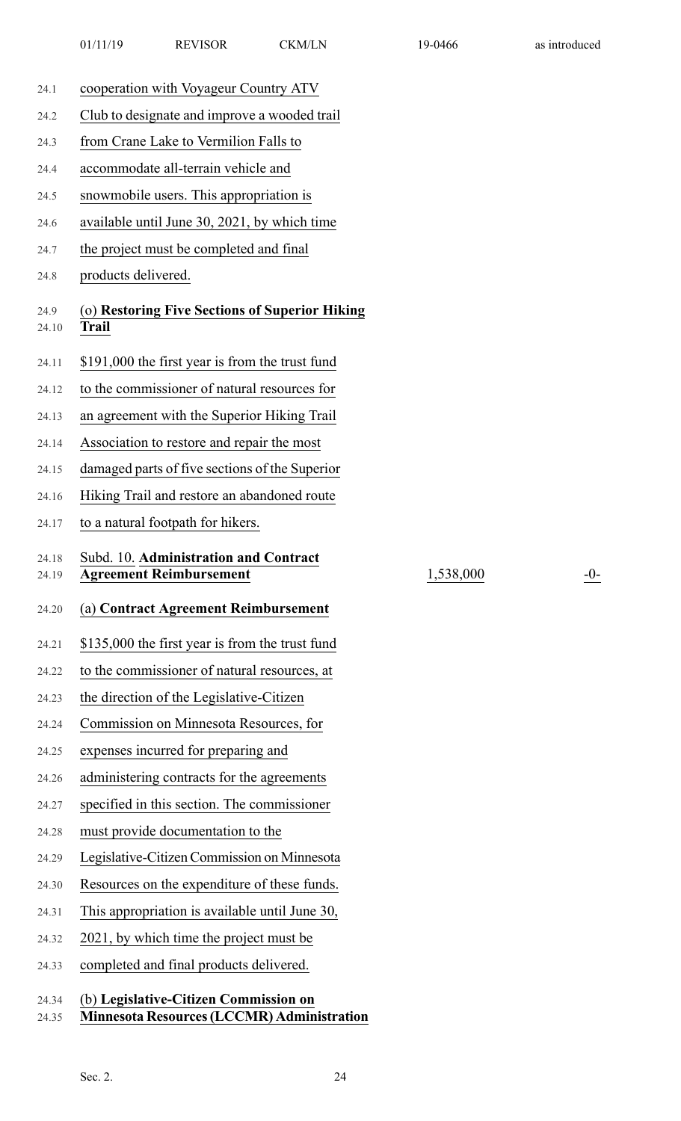| 24.1           | cooperation with Voyageur Country ATV                                   |           |       |
|----------------|-------------------------------------------------------------------------|-----------|-------|
| 24.2           | Club to designate and improve a wooded trail                            |           |       |
| 24.3           | from Crane Lake to Vermilion Falls to                                   |           |       |
| 24.4           | accommodate all-terrain vehicle and                                     |           |       |
| 24.5           | snowmobile users. This appropriation is                                 |           |       |
| 24.6           | available until June 30, 2021, by which time                            |           |       |
| 24.7           | the project must be completed and final                                 |           |       |
| 24.8           | products delivered.                                                     |           |       |
| 24.9<br>24.10  | (o) Restoring Five Sections of Superior Hiking<br><b>Trail</b>          |           |       |
| 24.11          | \$191,000 the first year is from the trust fund                         |           |       |
| 24.12          | to the commissioner of natural resources for                            |           |       |
| 24.13          | an agreement with the Superior Hiking Trail                             |           |       |
| 24.14          | Association to restore and repair the most                              |           |       |
| 24.15          | damaged parts of five sections of the Superior                          |           |       |
| 24.16          | Hiking Trail and restore an abandoned route                             |           |       |
| 24.17          | to a natural footpath for hikers.                                       |           |       |
|                |                                                                         |           |       |
| 24.18<br>24.19 | Subd. 10. Administration and Contract<br><b>Agreement Reimbursement</b> | 1,538,000 | $-0-$ |
| 24.20          | (a) Contract Agreement Reimbursement                                    |           |       |
| 24.21          | \$135,000 the first year is from the trust fund                         |           |       |
| 24.22          | to the commissioner of natural resources, at                            |           |       |
| 24.23          | the direction of the Legislative-Citizen                                |           |       |
| 24.24          | Commission on Minnesota Resources, for                                  |           |       |
| 24.25          | expenses incurred for preparing and                                     |           |       |
| 24.26          | administering contracts for the agreements                              |           |       |
| 24.27          | specified in this section. The commissioner                             |           |       |
| 24.28          | must provide documentation to the                                       |           |       |
| 24.29          | Legislative-Citizen Commission on Minnesota                             |           |       |
| 24.30          | Resources on the expenditure of these funds.                            |           |       |
| 24.31          | This appropriation is available until June 30,                          |           |       |
| 24.32          | 2021, by which time the project must be                                 |           |       |
| 24.33          | completed and final products delivered.                                 |           |       |

## 24.35 **Minnesota Resources(LCCMR) Administration**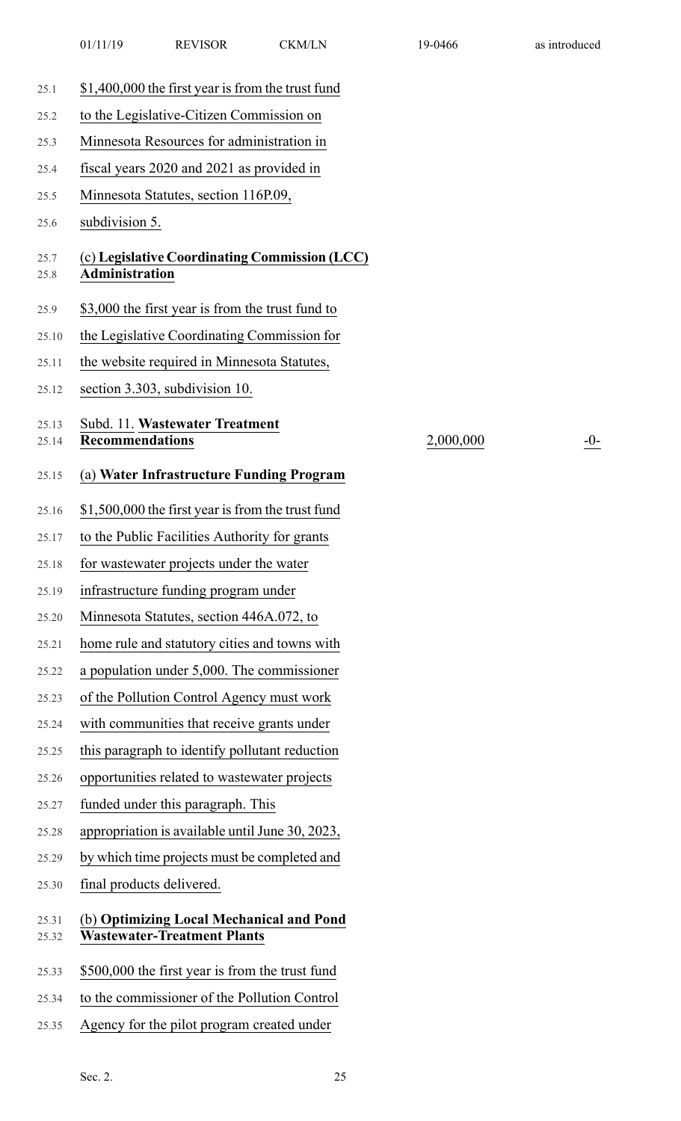| 25.1           | \$1,400,000 the first year is from the trust fund                              |           |       |
|----------------|--------------------------------------------------------------------------------|-----------|-------|
| 25.2           | to the Legislative-Citizen Commission on                                       |           |       |
| 25.3           | Minnesota Resources for administration in                                      |           |       |
| 25.4           | fiscal years 2020 and 2021 as provided in                                      |           |       |
| 25.5           | Minnesota Statutes, section 116P.09,                                           |           |       |
| 25.6           | subdivision 5.                                                                 |           |       |
| 25.7<br>25.8   | (c) Legislative Coordinating Commission (LCC)<br><b>Administration</b>         |           |       |
| 25.9           | \$3,000 the first year is from the trust fund to                               |           |       |
| 25.10          | the Legislative Coordinating Commission for                                    |           |       |
| 25.11          | the website required in Minnesota Statutes,                                    |           |       |
| 25.12          | section 3.303, subdivision 10.                                                 |           |       |
| 25.13<br>25.14 | Subd. 11. Wastewater Treatment<br><b>Recommendations</b>                       | 2,000,000 | $-0-$ |
| 25.15          | (a) Water Infrastructure Funding Program                                       |           |       |
| 25.16          | \$1,500,000 the first year is from the trust fund                              |           |       |
| 25.17          | to the Public Facilities Authority for grants                                  |           |       |
| 25.18          | for wastewater projects under the water                                        |           |       |
| 25.19          | infrastructure funding program under                                           |           |       |
| 25.20          | Minnesota Statutes, section 446A.072, to                                       |           |       |
| 25.21          | home rule and statutory cities and towns with                                  |           |       |
| 25.22          | a population under 5,000. The commissioner                                     |           |       |
| 25.23          | of the Pollution Control Agency must work                                      |           |       |
| 25.24          | with communities that receive grants under                                     |           |       |
| 25.25          | this paragraph to identify pollutant reduction                                 |           |       |
| 25.26          | opportunities related to wastewater projects                                   |           |       |
| 25.27          | funded under this paragraph. This                                              |           |       |
| 25.28          | appropriation is available until June 30, 2023,                                |           |       |
| 25.29          | by which time projects must be completed and                                   |           |       |
| 25.30          | final products delivered.                                                      |           |       |
| 25.31<br>25.32 | (b) Optimizing Local Mechanical and Pond<br><b>Wastewater-Treatment Plants</b> |           |       |
| 25.33          | \$500,000 the first year is from the trust fund                                |           |       |
| 25.34          | to the commissioner of the Pollution Control                                   |           |       |
| 25.35          | Agency for the pilot program created under                                     |           |       |
|                |                                                                                |           |       |

01/11/19 REVISOR CKM/LN 19-0466 as introduced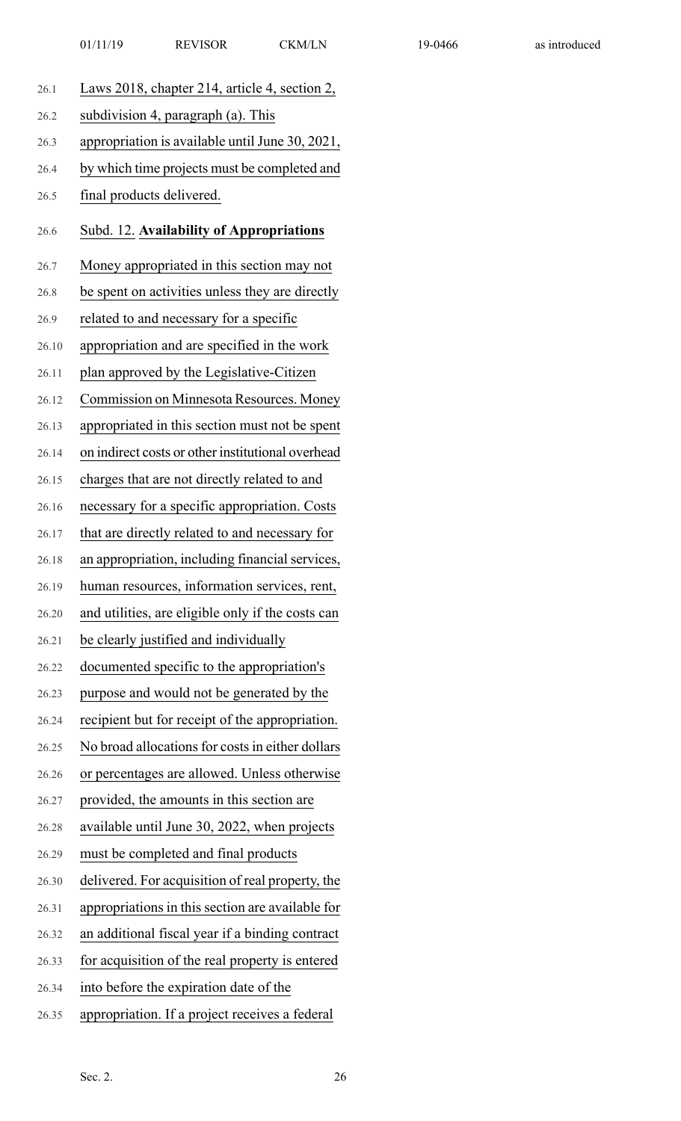| 26.1  | Laws 2018, chapter 214, article 4, section 2,     |
|-------|---------------------------------------------------|
| 26.2  | subdivision 4, paragraph (a). This                |
| 26.3  | appropriation is available until June 30, 2021,   |
| 26.4  | by which time projects must be completed and      |
| 26.5  | final products delivered.                         |
| 26.6  | Subd. 12. Availability of Appropriations          |
| 26.7  | Money appropriated in this section may not        |
| 26.8  | be spent on activities unless they are directly   |
| 26.9  | related to and necessary for a specific           |
| 26.10 | appropriation and are specified in the work       |
| 26.11 | plan approved by the Legislative-Citizen          |
| 26.12 | Commission on Minnesota Resources. Money          |
| 26.13 | appropriated in this section must not be spent    |
| 26.14 | on indirect costs or other institutional overhead |
| 26.15 | charges that are not directly related to and      |
| 26.16 | necessary for a specific appropriation. Costs     |
| 26.17 | that are directly related to and necessary for    |
| 26.18 | an appropriation, including financial services,   |
| 26.19 | human resources, information services, rent,      |
| 26.20 | and utilities, are eligible only if the costs can |
| 26.21 | be clearly justified and individually             |
| 26.22 | documented specific to the appropriation's        |
| 26.23 | purpose and would not be generated by the         |
| 26.24 | recipient but for receipt of the appropriation.   |
| 26.25 | No broad allocations for costs in either dollars  |
| 26.26 | or percentages are allowed. Unless otherwise      |
| 26.27 | provided, the amounts in this section are         |
| 26.28 | available until June 30, 2022, when projects      |
| 26.29 | must be completed and final products              |
| 26.30 | delivered. For acquisition of real property, the  |
| 26.31 | appropriations in this section are available for  |
| 26.32 | an additional fiscal year if a binding contract   |
| 26.33 | for acquisition of the real property is entered   |
| 26.34 | into before the expiration date of the            |
| 26.35 | appropriation. If a project receives a federal    |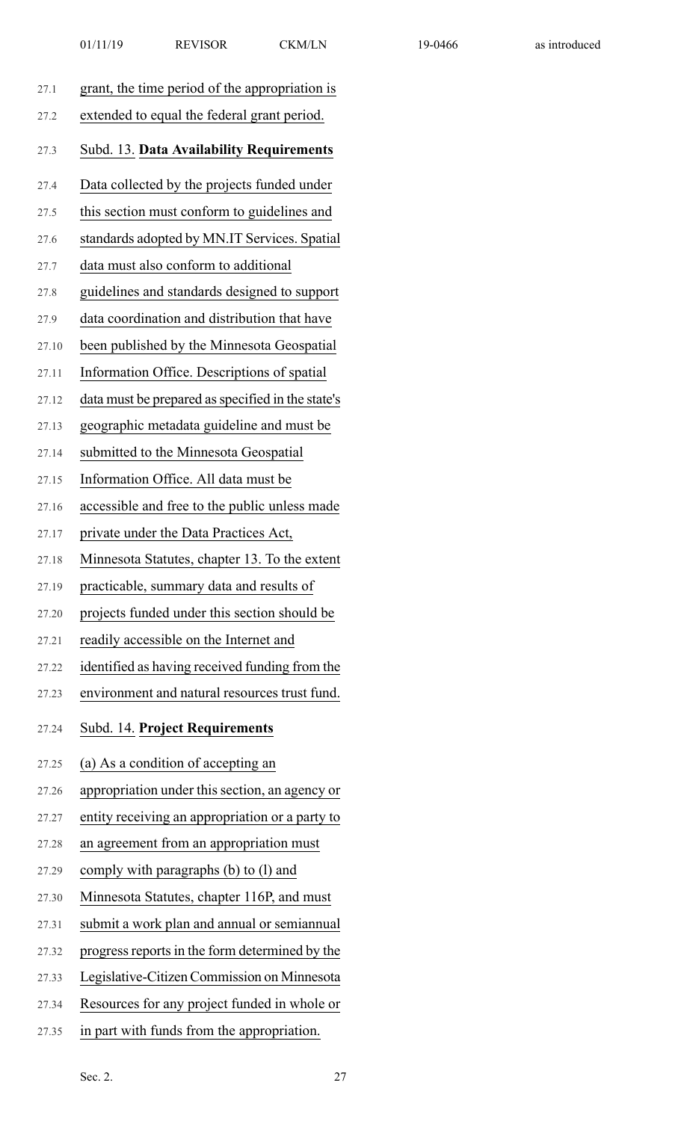| 27.1  | grant, the time period of the appropriation is    |
|-------|---------------------------------------------------|
| 27.2  | extended to equal the federal grant period.       |
| 27.3  | Subd. 13. Data Availability Requirements          |
| 27.4  | Data collected by the projects funded under       |
| 27.5  | this section must conform to guidelines and       |
| 27.6  | standards adopted by MN.IT Services. Spatial      |
| 27.7  | data must also conform to additional              |
| 27.8  | guidelines and standards designed to support      |
| 27.9  | data coordination and distribution that have      |
| 27.10 | been published by the Minnesota Geospatial        |
| 27.11 | Information Office. Descriptions of spatial       |
| 27.12 | data must be prepared as specified in the state's |
| 27.13 | geographic metadata guideline and must be         |
| 27.14 | submitted to the Minnesota Geospatial             |
| 27.15 | Information Office. All data must be              |
| 27.16 | accessible and free to the public unless made     |
| 27.17 | private under the Data Practices Act,             |
| 27.18 | Minnesota Statutes, chapter 13. To the extent     |
| 27.19 | practicable, summary data and results of          |
| 27.20 | projects funded under this section should be      |
| 27.21 | readily accessible on the Internet and            |
| 27.22 | identified as having received funding from the    |
| 27.23 | environment and natural resources trust fund.     |
| 27.24 | Subd. 14. Project Requirements                    |
| 27.25 | (a) As a condition of accepting an                |
| 27.26 | appropriation under this section, an agency or    |
| 27.27 | entity receiving an appropriation or a party to   |
| 27.28 | an agreement from an appropriation must           |
| 27.29 | comply with paragraphs (b) to (l) and             |
| 27.30 | Minnesota Statutes, chapter 116P, and must        |
| 27.31 | submit a work plan and annual or semiannual       |
| 27.32 | progress reports in the form determined by the    |
| 27.33 | Legislative-Citizen Commission on Minnesota       |
| 27.34 | Resources for any project funded in whole or      |
|       |                                                   |

27.35 in part with funds from the appropriation.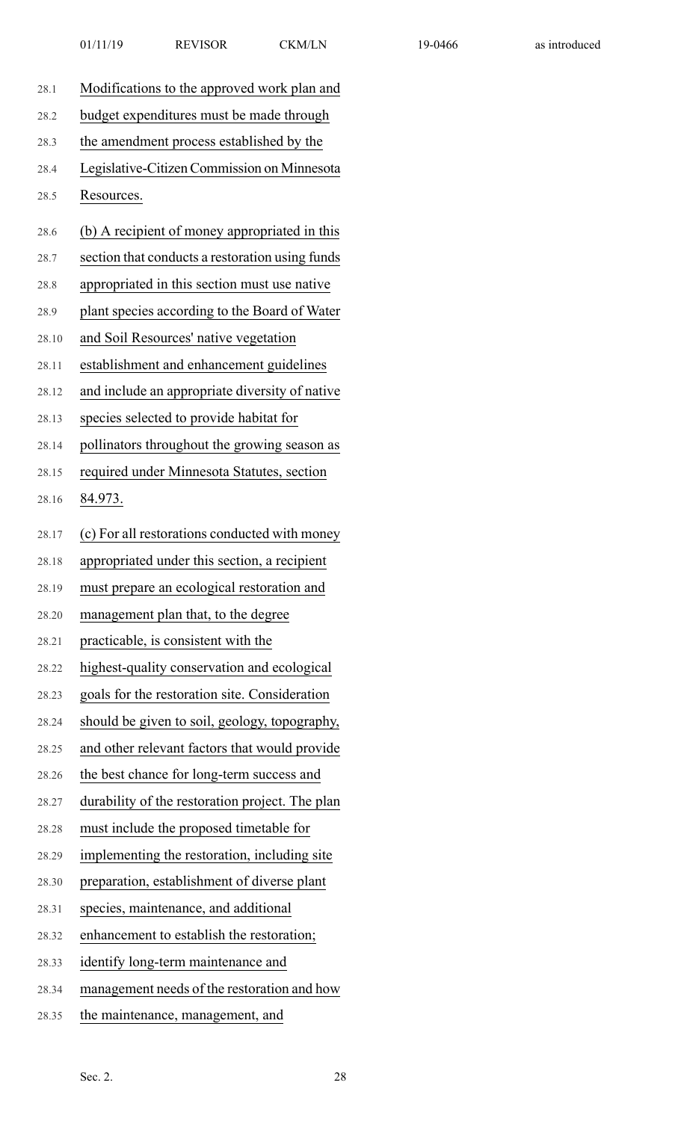| 28.1  | Modifications to the approved work plan and     |
|-------|-------------------------------------------------|
| 28.2  | budget expenditures must be made through        |
| 28.3  | the amendment process established by the        |
| 28.4  | Legislative-Citizen Commission on Minnesota     |
| 28.5  | Resources.                                      |
| 28.6  | (b) A recipient of money appropriated in this   |
| 28.7  | section that conducts a restoration using funds |
| 28.8  | appropriated in this section must use native    |
| 28.9  | plant species according to the Board of Water   |
| 28.10 | and Soil Resources' native vegetation           |
| 28.11 | establishment and enhancement guidelines        |
| 28.12 | and include an appropriate diversity of native  |
| 28.13 | species selected to provide habitat for         |
| 28.14 | pollinators throughout the growing season as    |
| 28.15 | required under Minnesota Statutes, section      |
| 28.16 | <u>84.973.</u>                                  |
| 28.17 | (c) For all restorations conducted with money   |
| 28.18 | appropriated under this section, a recipient    |
| 28.19 | must prepare an ecological restoration and      |
| 28.20 | management plan that, to the degree             |
| 28.21 | practicable, is consistent with the             |
| 28.22 | highest-quality conservation and ecological     |
| 28.23 | goals for the restoration site. Consideration   |
| 28.24 | should be given to soil, geology, topography,   |
| 28.25 | and other relevant factors that would provide   |
| 28.26 | the best chance for long-term success and       |
| 28.27 | durability of the restoration project. The plan |
| 28.28 | must include the proposed timetable for         |
| 28.29 | implementing the restoration, including site    |
| 28.30 | preparation, establishment of diverse plant     |
| 28.31 | species, maintenance, and additional            |
| 28.32 | enhancement to establish the restoration;       |
| 28.33 | identify long-term maintenance and              |
| 28.34 | management needs of the restoration and how     |
| 28.35 | the maintenance, management, and                |
|       |                                                 |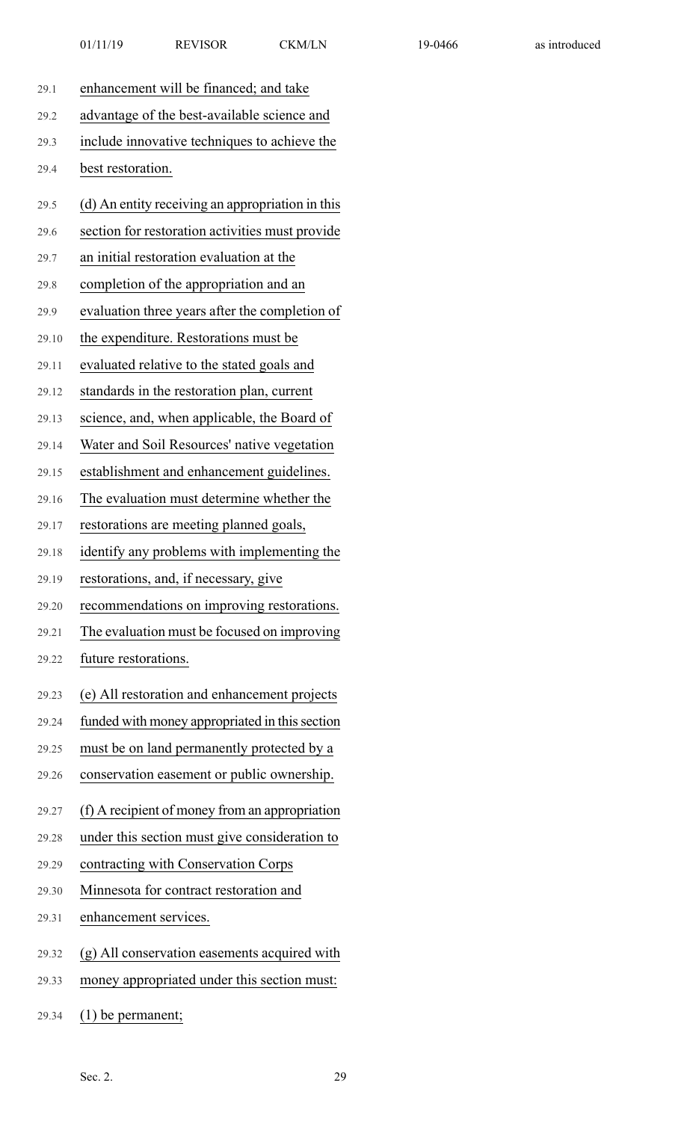| 29.1  | enhancement will be financed; and take           |
|-------|--------------------------------------------------|
| 29.2  | advantage of the best-available science and      |
| 29.3  | include innovative techniques to achieve the     |
| 29.4  | best restoration.                                |
| 29.5  | (d) An entity receiving an appropriation in this |
| 29.6  | section for restoration activities must provide  |
| 29.7  | an initial restoration evaluation at the         |
| 29.8  | completion of the appropriation and an           |
| 29.9  | evaluation three years after the completion of   |
| 29.10 | the expenditure. Restorations must be            |
| 29.11 | evaluated relative to the stated goals and       |
| 29.12 | standards in the restoration plan, current       |
| 29.13 | science, and, when applicable, the Board of      |
| 29.14 | Water and Soil Resources' native vegetation      |
| 29.15 | establishment and enhancement guidelines.        |
| 29.16 | The evaluation must determine whether the        |
| 29.17 | restorations are meeting planned goals,          |
| 29.18 | identify any problems with implementing the      |
| 29.19 | restorations, and, if necessary, give            |
| 29.20 | recommendations on improving restorations.       |
| 29.21 | The evaluation must be focused on improving      |
| 29.22 | future restorations.                             |
| 29.23 | (e) All restoration and enhancement projects     |
| 29.24 | funded with money appropriated in this section   |
| 29.25 | must be on land permanently protected by a       |
| 29.26 | conservation easement or public ownership.       |
| 29.27 | (f) A recipient of money from an appropriation   |
| 29.28 | under this section must give consideration to    |
| 29.29 | contracting with Conservation Corps              |
| 29.30 | Minnesota for contract restoration and           |
| 29.31 | enhancement services.                            |
| 29.32 | (g) All conservation easements acquired with     |
| 29.33 | money appropriated under this section must:      |
| 29.34 | $(1)$ be permanent;                              |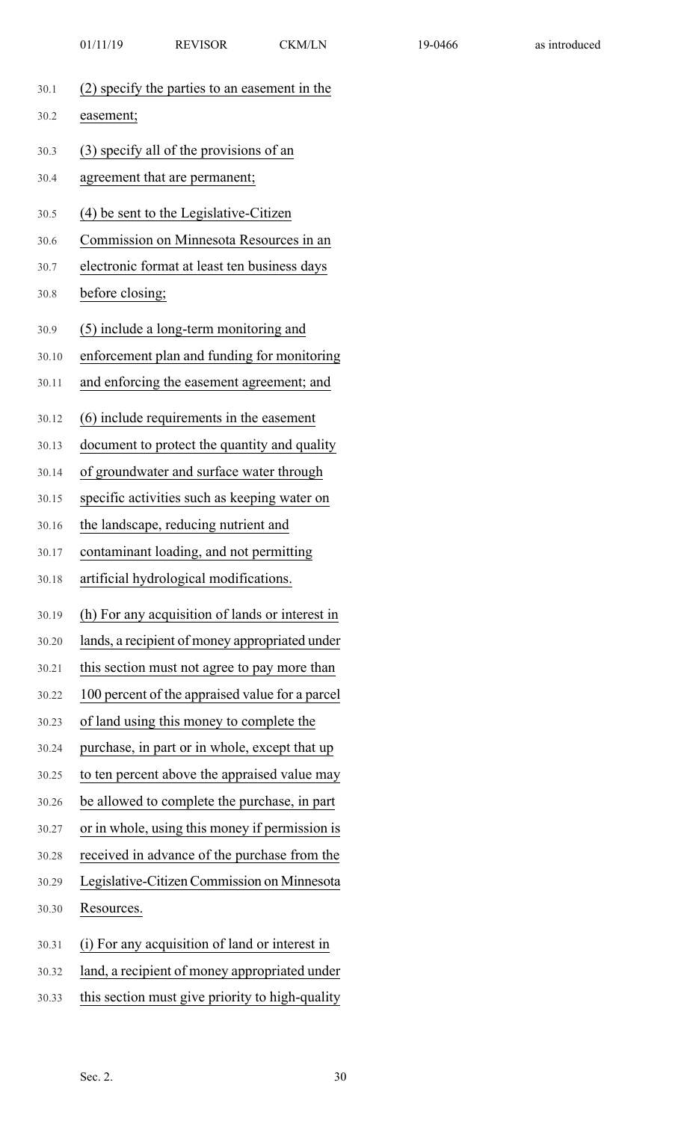| 01/11/19 | <b>REVISOR</b> | <b>CKM/LN</b> |
|----------|----------------|---------------|
|          |                |               |

| 30.1  | (2) specify the parties to an easement in the   |  |
|-------|-------------------------------------------------|--|
| 30.2  | easement;                                       |  |
| 30.3  | (3) specify all of the provisions of an         |  |
| 30.4  | agreement that are permanent;                   |  |
| 30.5  | (4) be sent to the Legislative-Citizen          |  |
| 30.6  | Commission on Minnesota Resources in an         |  |
| 30.7  | electronic format at least ten business days    |  |
| 30.8  | before closing;                                 |  |
|       |                                                 |  |
| 30.9  | (5) include a long-term monitoring and          |  |
| 30.10 | enforcement plan and funding for monitoring     |  |
| 30.11 | and enforcing the easement agreement; and       |  |
|       |                                                 |  |
| 30.12 | (6) include requirements in the easement        |  |
| 30.13 | document to protect the quantity and quality    |  |
| 30.14 | of groundwater and surface water through        |  |
| 30.15 | specific activities such as keeping water on    |  |
| 30.16 | the landscape, reducing nutrient and            |  |
| 30.17 | contaminant loading, and not permitting         |  |
| 30.18 | artificial hydrological modifications.          |  |
| 30.19 | (h) For any acquisition of lands or interest in |  |
| 30.20 | lands, a recipient of money appropriated under  |  |
| 30.21 | this section must not agree to pay more than    |  |
| 30.22 | 100 percent of the appraised value for a parcel |  |
| 30.23 | of land using this money to complete the        |  |
| 30.24 | purchase, in part or in whole, except that up   |  |
| 30.25 | to ten percent above the appraised value may    |  |
| 30.26 | be allowed to complete the purchase, in part    |  |
| 30.27 | or in whole, using this money if permission is  |  |
| 30.28 | received in advance of the purchase from the    |  |
| 30.29 | Legislative-Citizen Commission on Minnesota     |  |
| 30.30 | Resources.                                      |  |
| 30.31 | (i) For any acquisition of land or interest in  |  |
|       | land, a recipient of money appropriated under   |  |
| 30.32 |                                                 |  |
| 30.33 | this section must give priority to high-quality |  |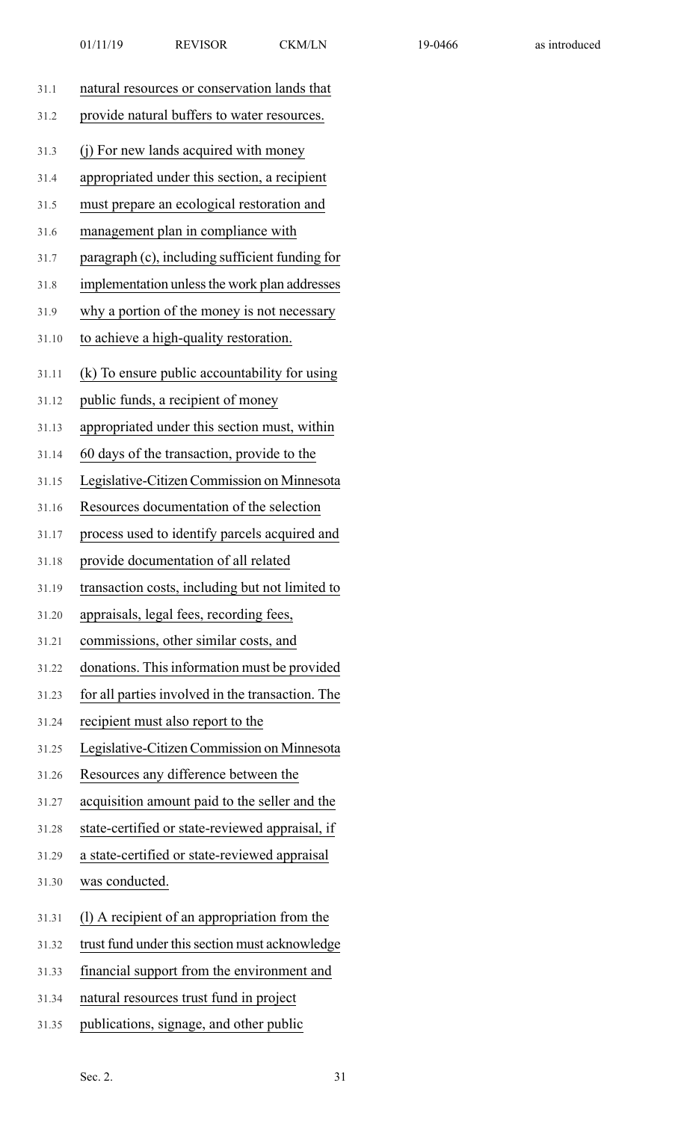| 31.1  | natural resources or conservation lands that     |
|-------|--------------------------------------------------|
| 31.2  | provide natural buffers to water resources.      |
| 31.3  | (j) For new lands acquired with money            |
| 31.4  | appropriated under this section, a recipient     |
| 31.5  | must prepare an ecological restoration and       |
| 31.6  | management plan in compliance with               |
| 31.7  | paragraph (c), including sufficient funding for  |
| 31.8  | implementation unless the work plan addresses    |
| 31.9  | why a portion of the money is not necessary      |
| 31.10 | to achieve a high-quality restoration.           |
| 31.11 | (k) To ensure public accountability for using    |
| 31.12 | public funds, a recipient of money               |
| 31.13 | appropriated under this section must, within     |
| 31.14 | 60 days of the transaction, provide to the       |
| 31.15 | Legislative-Citizen Commission on Minnesota      |
| 31.16 | Resources documentation of the selection         |
| 31.17 | process used to identify parcels acquired and    |
| 31.18 | provide documentation of all related             |
| 31.19 | transaction costs, including but not limited to  |
| 31.20 | appraisals, legal fees, recording fees,          |
| 31.21 | commissions, other similar costs, and            |
| 31.22 | donations. This information must be provided     |
| 31.23 | for all parties involved in the transaction. The |
| 31.24 | recipient must also report to the                |
| 31.25 | Legislative-Citizen Commission on Minnesota      |
| 31.26 | Resources any difference between the             |
| 31.27 | acquisition amount paid to the seller and the    |
| 31.28 | state-certified or state-reviewed appraisal, if  |
| 31.29 | a state-certified or state-reviewed appraisal    |
| 31.30 | was conducted.                                   |
| 31.31 | (1) A recipient of an appropriation from the     |
| 31.32 | trust fund under this section must acknowledge   |
| 31.33 | financial support from the environment and       |
| 31.34 | natural resources trust fund in project          |

31.35 publications, signage, and other public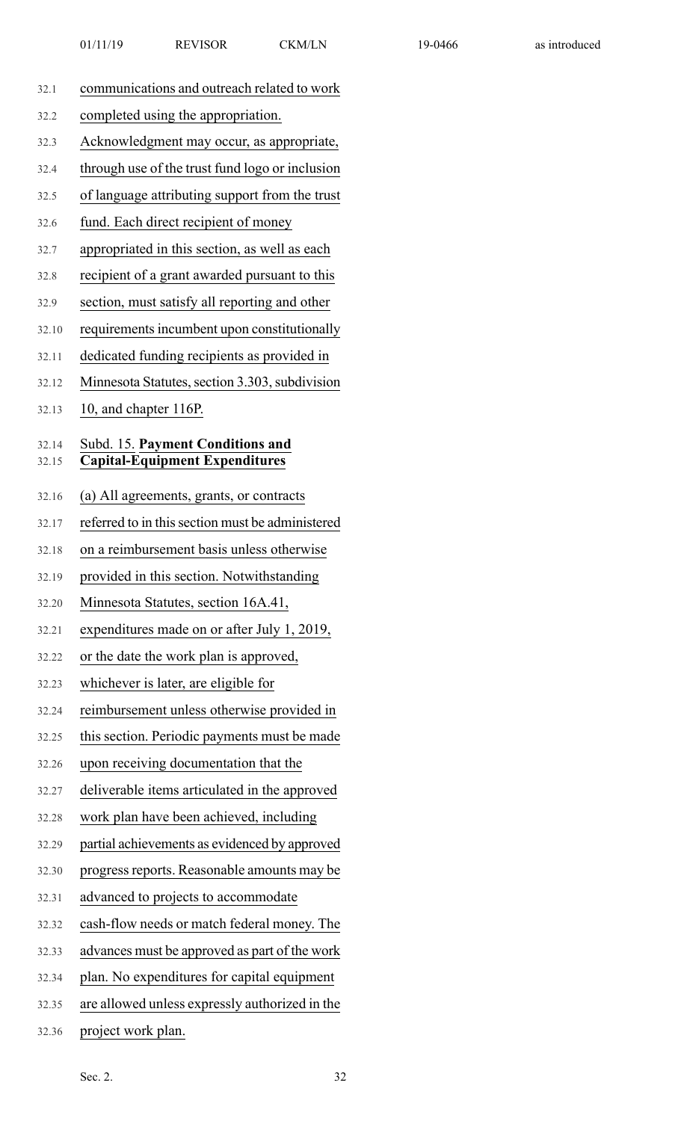- 32.1 communications and outreach related to work
- 32.2 completed using the appropriation.
- 32.3 Acknowledgment may occur, as appropriate,
- 32.4 through use of the trust fund logo or inclusion
- 32.5 of language attributing support from the trust
- 32.6 fund. Each direct recipient of money
- 32.7 appropriated in this section, as well as each
- 32.8 recipient of a grant awarded pursuant to this
- 32.9 section, must satisfy all reporting and other
- 32.10 requirements incumbent upon constitutionally
- 32.11 dedicated funding recipients as provided in
- 32.12 Minnesota Statutes, section 3.303, subdivision
- 32.13 10, and chapter 116P.

#### 32.14 Subd. 15. **Payment Conditions and** 32.15 **Capital-Equipment Expenditures**

- 32.16 (a) All agreements, grants, or contracts
- 32.17 referred to in thissection must be administered
- 32.18 on a reimbursement basis unless otherwise
- 32.19 provided in this section. Notwithstanding
- 32.20 Minnesota Statutes, section 16A.41,
- 32.21 expenditures made on or after July 1, 2019,
- 32.22 or the date the work plan is approved,
- 32.23 whichever is later, are eligible for
- 32.24 reimbursement unless otherwise provided in
- 32.25 this section. Periodic payments must be made
- 32.26 upon receiving documentation that the
- 32.27 deliverable items articulated in the approved
- 32.28 work plan have been achieved, including
- 32.29 partial achievements as evidenced by approved
- 32.30 progress reports. Reasonable amounts may be
- 32.31 advanced to projects to accommodate
- 32.32 cash-flow needs or match federal money. The
- 32.33 advances must be approved as part of the work
- 32.34 plan. No expenditures for capital equipment
- 32.35 are allowed unless expressly authorized in the
- 32.36 project work plan.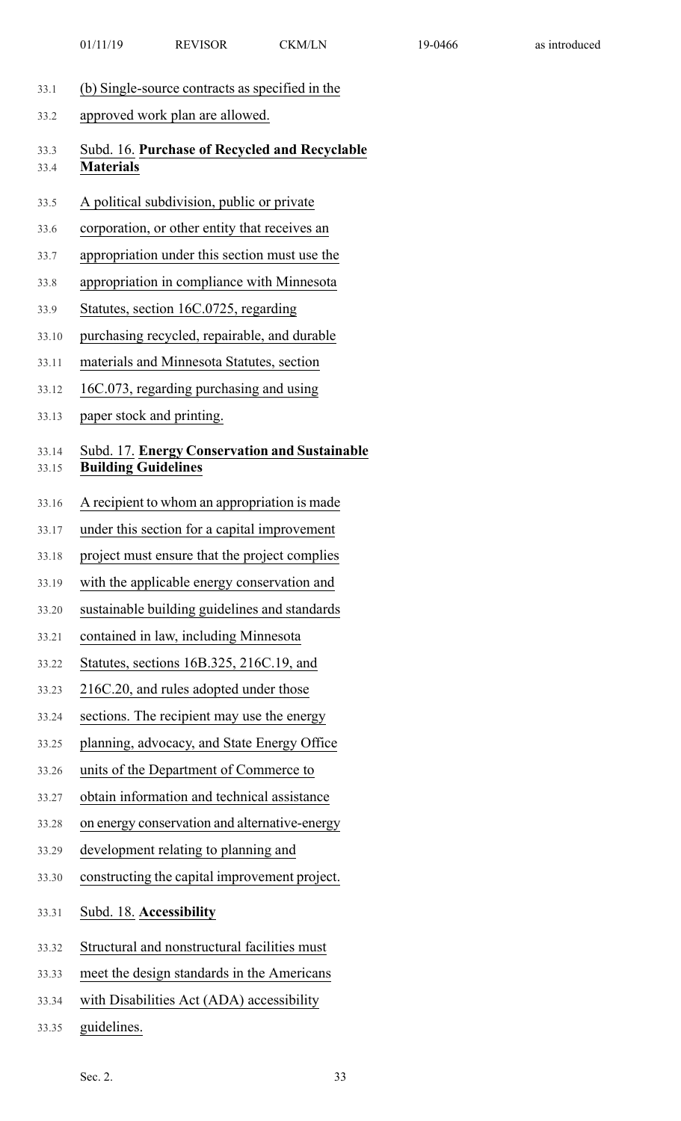- 33.1 (b) Single-source contracts as specified in the
- 33.2 approved work plan are allowed.

#### 33.3 Subd. 16. **Purchase of Recycled and Recyclable** 33.4 **Materials**

- 33.5 A political subdivision, public or private
- 33.6 corporation, or other entity that receives an
- 33.7 appropriation under this section must use the
- 33.8 appropriation in compliance with Minnesota
- 33.9 Statutes, section 16C.0725, regarding
- 33.10 purchasing recycled, repairable, and durable
- 33.11 materials and Minnesota Statutes, section
- 33.12 16C.073, regarding purchasing and using
- 33.13 paper stock and printing.

## 33.14 Subd. 17. **Energy Conservation and Sustainable**

- 33.15 **Building Guidelines**
- 33.16 A recipient to whom an appropriation is made
- 33.17 under this section for a capital improvement
- 33.18 project must ensure that the project complies
- 33.19 with the applicable energy conservation and
- 33.20 sustainable building guidelines and standards
- 33.21 contained in law, including Minnesota
- 33.22 Statutes, sections 16B.325, 216C.19, and
- 33.23 216C.20, and rules adopted under those
- 33.24 sections. The recipient may use the energy
- 33.25 planning, advocacy, and State Energy Office
- 33.26 units of the Department of Commerce to
- 33.27 obtain information and technical assistance
- 33.28 on energy conservation and alternative-energy
- 33.29 development relating to planning and
- 33.30 constructing the capital improvement project.
- 33.31 Subd. 18. **Accessibility**
- 33.32 Structural and nonstructural facilities must
- 33.33 meet the design standards in the Americans
- 33.34 with Disabilities Act (ADA) accessibility
- 33.35 guidelines.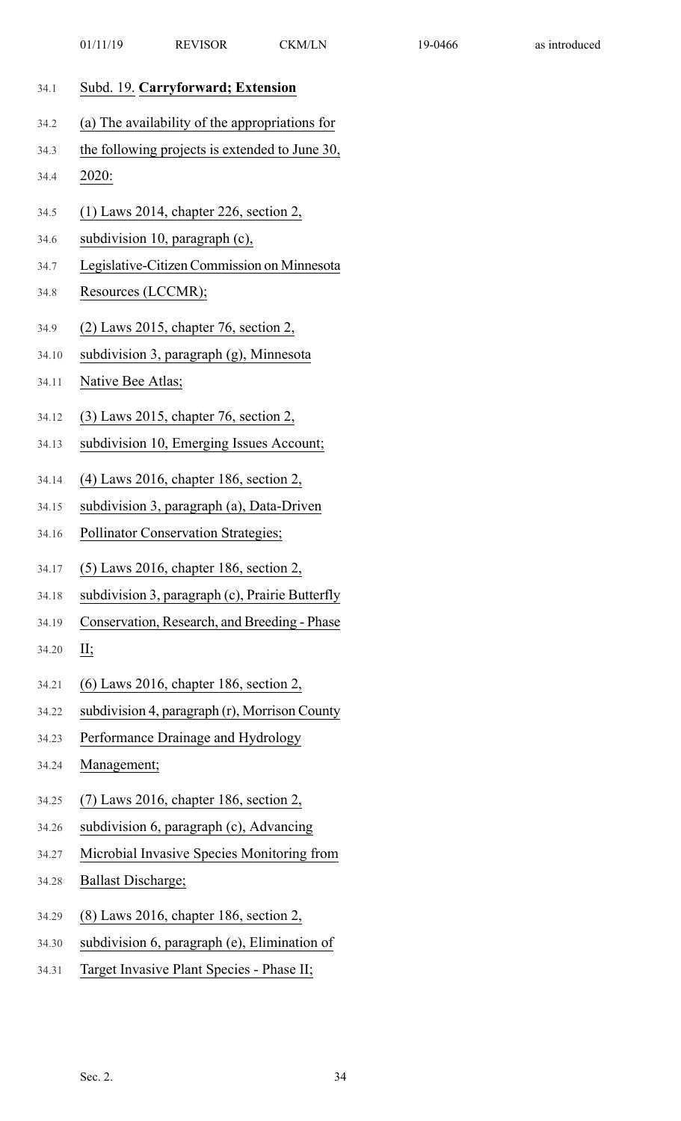|       | 01/11/19<br><b>REVISOR</b><br><b>CKM/LN</b>     |
|-------|-------------------------------------------------|
| 34.1  | Subd. 19. Carryforward; Extension               |
| 34.2  | (a) The availability of the appropriations for  |
| 34.3  | the following projects is extended to June 30,  |
| 34.4  | 2020:                                           |
| 34.5  | $(1)$ Laws 2014, chapter 226, section 2,        |
| 34.6  | subdivision 10, paragraph (c),                  |
| 34.7  | Legislative-Citizen Commission on Minnesota     |
| 34.8  | Resources (LCCMR);                              |
| 34.9  | $(2)$ Laws 2015, chapter 76, section 2,         |
| 34.10 | subdivision 3, paragraph (g), Minnesota         |
| 34.11 | Native Bee Atlas;                               |
|       | 34.12 (3) Laws 2015, chapter 76, section 2,     |
| 34.13 | subdivision 10, Emerging Issues Account;        |
| 34.14 | (4) Laws 2016, chapter 186, section 2,          |
| 34.15 | subdivision 3, paragraph (a), Data-Driven       |
| 34.16 | Pollinator Conservation Strategies;             |
| 34.17 | (5) Laws 2016, chapter 186, section 2,          |
| 34.18 | subdivision 3, paragraph (c), Prairie Butterfly |
| 34.19 | Conservation, Research, and Breeding - Phase    |
| 34.20 | II;                                             |
| 34.21 | $(6)$ Laws 2016, chapter 186, section 2,        |
| 34.22 | subdivision 4, paragraph (r), Morrison County   |
| 34.23 | Performance Drainage and Hydrology              |
| 34.24 | Management;                                     |
| 34.25 | $(7)$ Laws 2016, chapter 186, section 2,        |

19-0466 as introduced

- 34.26 subdivision 6, paragraph (c), Advancing 34.27 Microbial Invasive Species Monitoring from
- 34.28 Ballast Discharge;
- 34.29 (8) Laws 2016, chapter 186, section 2,
- 34.30 subdivision 6, paragraph (e), Elimination of
- 34.31 Target Invasive Plant Species Phase II;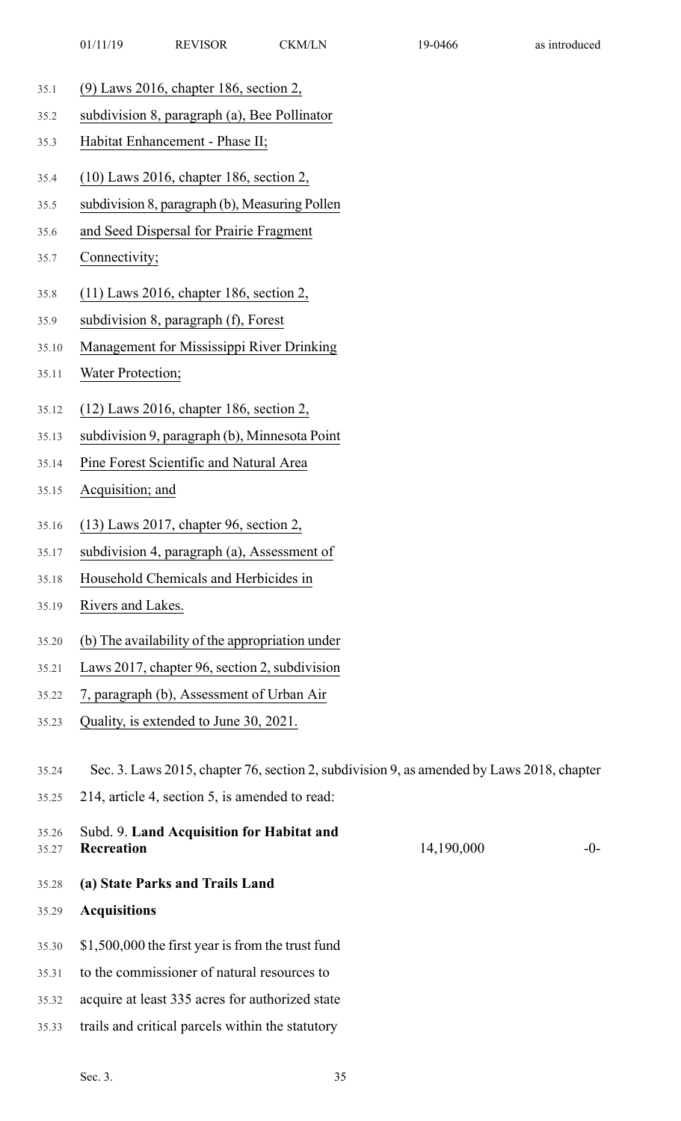- 35.1 (9) Laws 2016, chapter 186, section 2,
- 35.2 subdivision 8, paragraph (a), Bee Pollinator
- 35.3 Habitat Enhancement Phase II;
- 35.4 (10) Laws 2016, chapter 186, section 2,
- 35.5 subdivision 8, paragraph (b), Measuring Pollen
- 35.6 and Seed Dispersal for Prairie Fragment
- 35.7 Connectivity;
- 35.8 (11) Laws 2016, chapter 186, section 2,
- 35.9 subdivision 8, paragraph (f), Forest
- 35.10 Management for Mississippi River Drinking
- 35.11 Water Protection;
- 35.12 (12) Laws 2016, chapter 186, section 2,
- 35.13 subdivision 9, paragraph (b), Minnesota Point
- 35.14 Pine Forest Scientific and Natural Area
- 35.15 Acquisition; and
- 35.16 (13) Laws 2017, chapter 96, section 2,
- 35.17 subdivision 4, paragraph (a), Assessment of
- 35.18 Household Chemicals and Herbicides in
- 35.19 Rivers and Lakes.
- 35.20 (b) The availability of the appropriation under
- 35.21 Laws 2017, chapter 96, section 2, subdivision
- 35.22 7, paragraph (b), Assessment of Urban Air
- 35.23 Quality, is extended to June 30, 2021.
- 35.24 Sec. 3. Laws 2015, chapter 76,section 2,subdivision 9, as amended by Laws 2018, chapter
- 35.25 214, article 4, section 5, is amended to read:
- 14,190,000 -0-35.26 Subd. 9. **Land Acquisition for Habitat and** 35.27 **Recreation** 35.28 **(a) State Parks and Trails Land**
- 35.29 **Acquisitions**
- 35.30 \$1,500,000 the first year is from the trust fund
- 35.31 to the commissioner of natural resources to
- 35.32 acquire at least 335 acres for authorized state
- 35.33 trails and critical parcels within the statutory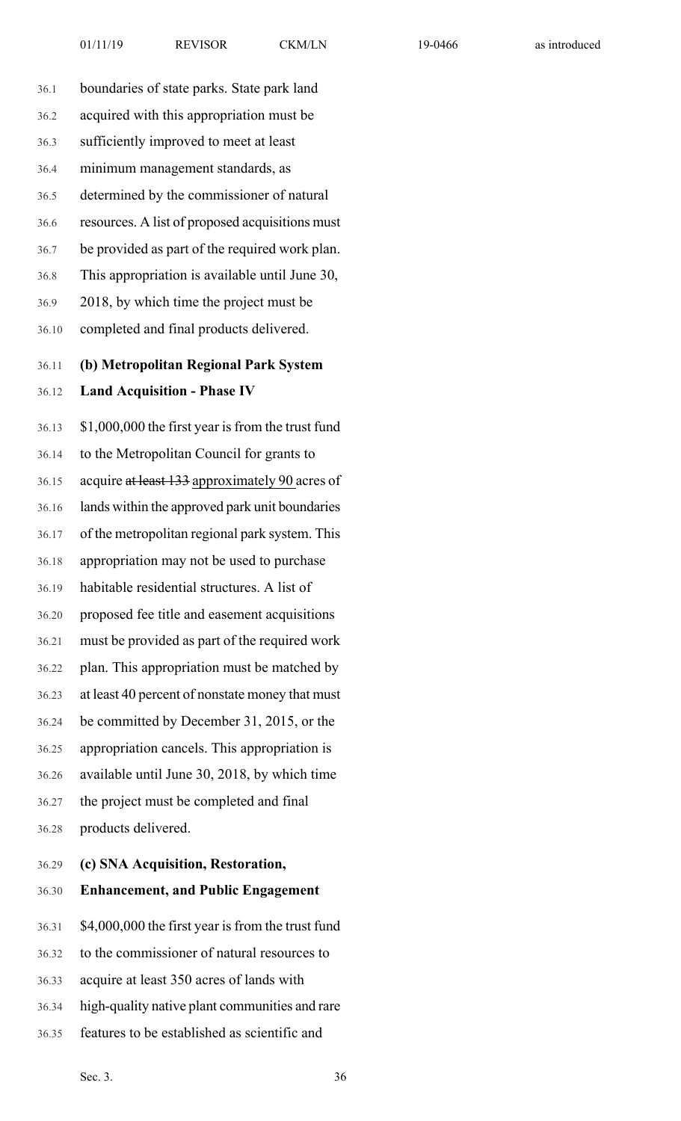| 36.1  | boundaries of state parks. State park land        |
|-------|---------------------------------------------------|
| 36.2  | acquired with this appropriation must be          |
| 36.3  | sufficiently improved to meet at least            |
| 36.4  | minimum management standards, as                  |
| 36.5  | determined by the commissioner of natural         |
| 36.6  | resources. A list of proposed acquisitions must   |
| 36.7  | be provided as part of the required work plan.    |
| 36.8  | This appropriation is available until June 30,    |
| 36.9  | 2018, by which time the project must be           |
| 36.10 | completed and final products delivered.           |
| 36.11 | (b) Metropolitan Regional Park System             |
| 36.12 | <b>Land Acquisition - Phase IV</b>                |
| 36.13 | \$1,000,000 the first year is from the trust fund |
| 36.14 | to the Metropolitan Council for grants to         |
| 36.15 | acquire at least 133 approximately 90 acres of    |
| 36.16 | lands within the approved park unit boundaries    |
| 36.17 | of the metropolitan regional park system. This    |
| 36.18 | appropriation may not be used to purchase         |
| 36.19 | habitable residential structures. A list of       |
| 36.20 | proposed fee title and easement acquisitions      |
| 36.21 | must be provided as part of the required work     |
| 36.22 | plan. This appropriation must be matched by       |
| 36.23 | at least 40 percent of nonstate money that must   |
| 36.24 | be committed by December 31, 2015, or the         |
| 36.25 | appropriation cancels. This appropriation is      |
| 36.26 | available until June 30, 2018, by which time      |
| 36.27 | the project must be completed and final           |
| 36.28 | products delivered.                               |
| 36.29 | (c) SNA Acquisition, Restoration,                 |

## 36.30 **Enhancement, and Public Engagement**

36.31 \$4,000,000 the first year is from the trust fund 36.32 to the commissioner of natural resources to 36.33 acquire at least 350 acres of lands with 36.34 high-quality native plant communities and rare

36.35 features to be established as scientific and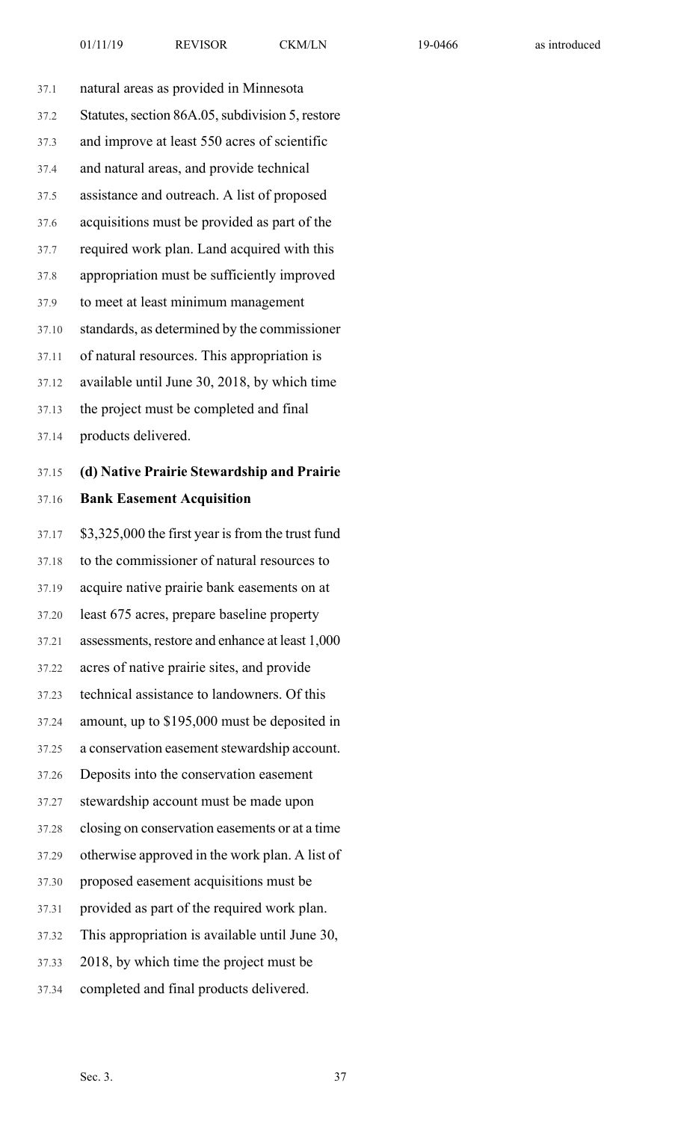| 37.1  | natural areas as provided in Minnesota            |
|-------|---------------------------------------------------|
| 37.2  | Statutes, section 86A.05, subdivision 5, restore  |
| 37.3  | and improve at least 550 acres of scientific      |
| 37.4  | and natural areas, and provide technical          |
| 37.5  | assistance and outreach. A list of proposed       |
| 37.6  | acquisitions must be provided as part of the      |
| 37.7  | required work plan. Land acquired with this       |
| 37.8  | appropriation must be sufficiently improved       |
| 37.9  | to meet at least minimum management               |
| 37.10 | standards, as determined by the commissioner      |
| 37.11 | of natural resources. This appropriation is       |
| 37.12 | available until June 30, 2018, by which time      |
| 37.13 | the project must be completed and final           |
| 37.14 | products delivered.                               |
| 37.15 | (d) Native Prairie Stewardship and Prairie        |
| 37.16 | <b>Bank Easement Acquisition</b>                  |
| 37.17 | \$3,325,000 the first year is from the trust fund |
| 37.18 | to the commissioner of natural resources to       |
| 37.19 | acquire native prairie bank easements on at       |
| 37.20 | least 675 acres, prepare baseline property        |
| 37.21 | assessments, restore and enhance at least 1,000   |
| 37.22 | acres of native prairie sites, and provide        |
| 37.23 | technical assistance to landowners. Of this       |
| 37.24 | amount, up to \$195,000 must be deposited in      |
| 37.25 | a conservation easement stewardship account.      |
| 37.26 | Deposits into the conservation easement           |
| 37.27 | stewardship account must be made upon             |
| 37.28 | closing on conservation easements or at a time    |
| 37.29 | otherwise approved in the work plan. A list of    |
| 37.30 | proposed easement acquisitions must be            |
| 37.31 | provided as part of the required work plan.       |
| 37.32 | This appropriation is available until June 30,    |
| 37.33 | 2018, by which time the project must be           |
|       |                                                   |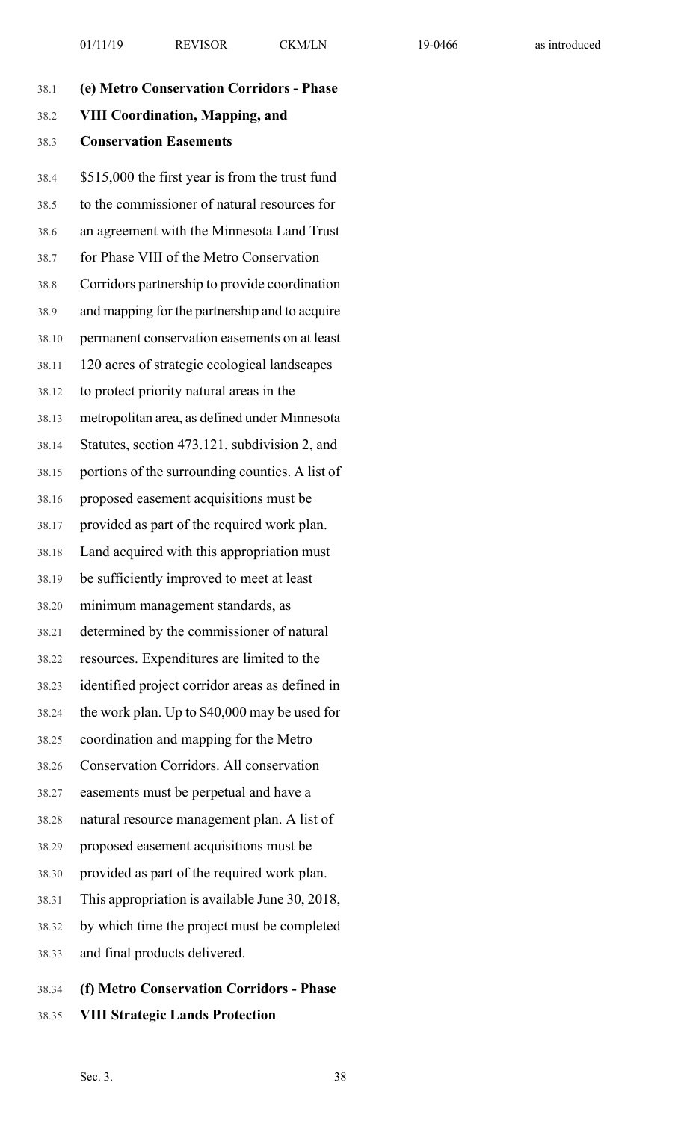| 38.1  | (e) Metro Conservation Corridors - Phase        |
|-------|-------------------------------------------------|
| 38.2  | <b>VIII Coordination, Mapping, and</b>          |
| 38.3  | <b>Conservation Easements</b>                   |
| 38.4  | \$515,000 the first year is from the trust fund |
| 38.5  | to the commissioner of natural resources for    |
| 38.6  | an agreement with the Minnesota Land Trust      |
| 38.7  | for Phase VIII of the Metro Conservation        |
| 38.8  | Corridors partnership to provide coordination   |
| 38.9  | and mapping for the partnership and to acquire  |
| 38.10 | permanent conservation easements on at least    |
| 38.11 | 120 acres of strategic ecological landscapes    |
| 38.12 | to protect priority natural areas in the        |
| 38.13 | metropolitan area, as defined under Minnesota   |
| 38.14 | Statutes, section 473.121, subdivision 2, and   |
| 38.15 | portions of the surrounding counties. A list of |
| 38.16 | proposed easement acquisitions must be          |
| 38.17 | provided as part of the required work plan.     |
| 38.18 | Land acquired with this appropriation must      |
| 38.19 | be sufficiently improved to meet at least       |
| 38.20 | minimum management standards, as                |
| 38.21 | determined by the commissioner of natural       |
| 38.22 | resources. Expenditures are limited to the      |
| 38.23 | identified project corridor areas as defined in |
| 38.24 | the work plan. Up to \$40,000 may be used for   |
| 38.25 | coordination and mapping for the Metro          |
| 38.26 | <b>Conservation Corridors. All conservation</b> |
| 38.27 | easements must be perpetual and have a          |
| 38.28 | natural resource management plan. A list of     |
| 38.29 | proposed easement acquisitions must be          |
| 38.30 | provided as part of the required work plan.     |
| 38.31 | This appropriation is available June 30, 2018,  |
| 38.32 | by which time the project must be completed     |
| 38.33 | and final products delivered.                   |
|       |                                                 |

38.34 **(f) Metro Conservation Corridors - Phase** 38.35 **VIII Strategic Lands Protection**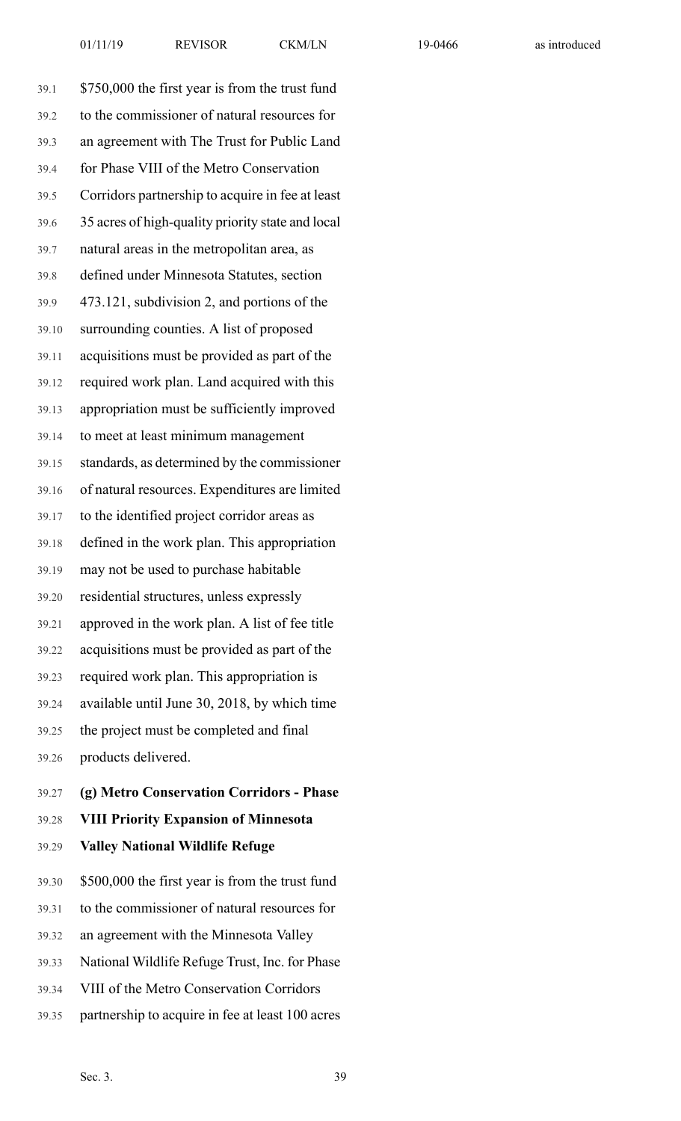39.1 \$750,000 the first year is from the trust fund 39.2 to the commissioner of natural resources for 39.3 an agreement with The Trust for Public Land 39.4 for Phase VIII of the Metro Conservation 39.5 Corridors partnership to acquire in fee at least 39.6 35 acres of high-quality priority state and local 39.7 natural areas in the metropolitan area, as 39.8 defined under Minnesota Statutes, section 39.9 473.121, subdivision 2, and portions of the 39.10 surrounding counties. A list of proposed 39.11 acquisitions must be provided as part of the 39.12 required work plan. Land acquired with this 39.13 appropriation must be sufficiently improved 39.14 to meet at least minimum management 39.15 standards, as determined by the commissioner 39.16 of natural resources. Expenditures are limited 39.17 to the identified project corridor areas as 39.18 defined in the work plan. This appropriation 39.19 may not be used to purchase habitable 39.20 residential structures, unless expressly 39.21 approved in the work plan. A list of fee title 39.22 acquisitions must be provided as part of the 39.23 required work plan. This appropriation is 39.24 available until June 30, 2018, by which time 39.25 the project must be completed and final 39.26 products delivered.

- 39.27 **(g) Metro Conservation Corridors - Phase**
- 39.28 **VIII Priority Expansion of Minnesota**

### 39.29 **Valley National Wildlife Refuge**

39.30 \$500,000 the first year is from the trust fund

- 39.31 to the commissioner of natural resources for
- 39.32 an agreement with the Minnesota Valley
- 39.33 National Wildlife Refuge Trust, Inc. for Phase
- 39.34 VIII of the Metro Conservation Corridors
- 39.35 partnership to acquire in fee at least 100 acres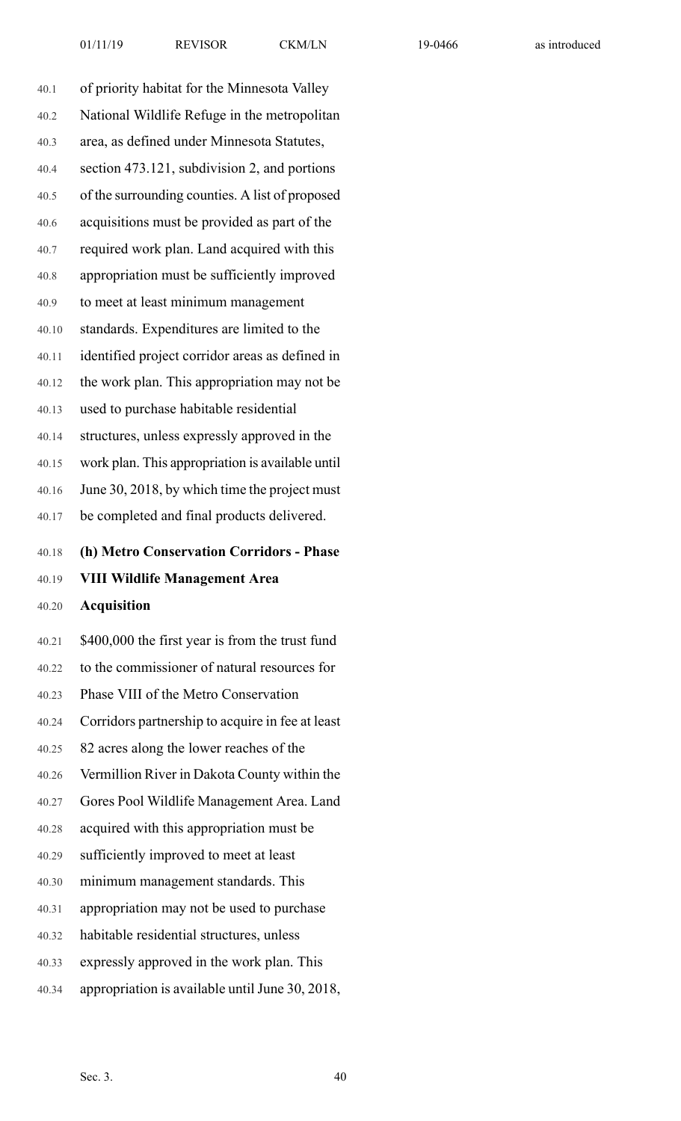| 40.1  | of priority habitat for the Minnesota Valley     |
|-------|--------------------------------------------------|
| 40.2  | National Wildlife Refuge in the metropolitan     |
| 40.3  | area, as defined under Minnesota Statutes,       |
| 40.4  | section 473.121, subdivision 2, and portions     |
| 40.5  | of the surrounding counties. A list of proposed  |
| 40.6  | acquisitions must be provided as part of the     |
| 40.7  | required work plan. Land acquired with this      |
| 40.8  | appropriation must be sufficiently improved      |
| 40.9  | to meet at least minimum management              |
| 40.10 | standards. Expenditures are limited to the       |
| 40.11 | identified project corridor areas as defined in  |
| 40.12 | the work plan. This appropriation may not be     |
| 40.13 | used to purchase habitable residential           |
| 40.14 | structures, unless expressly approved in the     |
| 40.15 | work plan. This appropriation is available until |
| 40.16 | June 30, 2018, by which time the project must    |
| 40.17 | be completed and final products delivered.       |
| 40.18 | (h) Metro Conservation Corridors - Phase         |
| 40.19 | <b>VIII Wildlife Management Area</b>             |
| 40.20 | <b>Acquisition</b>                               |
| 40.21 | \$400,000 the first year is from the trust fund  |
| 40.22 | to the commissioner of natural resources for     |
| 40.23 | Phase VIII of the Metro Conservation             |
| 40.24 | Corridors partnership to acquire in fee at least |
| 40.25 | 82 acres along the lower reaches of the          |
| 40.26 | Vermillion River in Dakota County within the     |
|       |                                                  |

- 40.27 Gores Pool Wildlife Management Area. Land
- 40.28 acquired with this appropriation must be
- 40.29 sufficiently improved to meet at least
- 40.30 minimum management standards. This
- 40.31 appropriation may not be used to purchase
- 40.32 habitable residential structures, unless
- 40.33 expressly approved in the work plan. This
- 40.34 appropriation is available until June 30, 2018,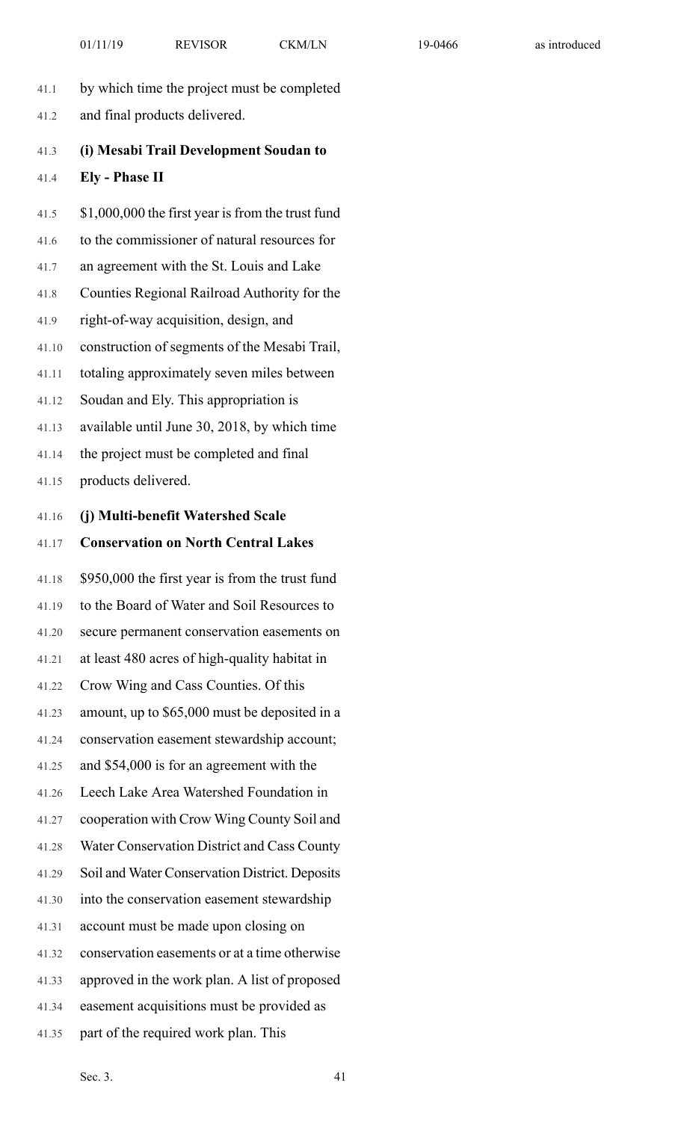- 41.1 by which time the project must be completed
- 41.2 and final products delivered.

## 41.3 **(i) Mesabi Trail Development Soudan to** 41.4 **Ely - Phase II**

41.5 \$1,000,000 the first year is from the trust fund 41.6 to the commissioner of natural resources for 41.7 an agreement with the St. Louis and Lake 41.8 Counties Regional Railroad Authority for the 41.9 right-of-way acquisition, design, and 41.10 construction of segments of the Mesabi Trail, 41.11 totaling approximately seven miles between 41.12 Soudan and Ely. This appropriation is 41.13 available until June 30, 2018, by which time 41.14 the project must be completed and final 41.15 products delivered. 41.16 **(j) Multi-benefit Watershed Scale** 41.17 **Conservation on North Central Lakes** 41.18 \$950,000 the first year is from the trust fund 41.19 to the Board of Water and Soil Resources to 41.20 secure permanent conservation easements on 41.21 at least 480 acres of high-quality habitat in 41.22 Crow Wing and Cass Counties. Of this 41.23 amount, up to \$65,000 must be deposited in a 41.24 conservation easement stewardship account; 41.25 and \$54,000 is for an agreement with the 41.26 Leech Lake Area Watershed Foundation in 41.27 cooperation with Crow Wing County Soil and 41.28 Water Conservation District and Cass County 41.29 Soil and Water Conservation District. Deposits 41.30 into the conservation easement stewardship 41.31 account must be made upon closing on 41.32 conservation easements or at a time otherwise 41.33 approved in the work plan. A list of proposed 41.34 easement acquisitions must be provided as

41.35 part of the required work plan. This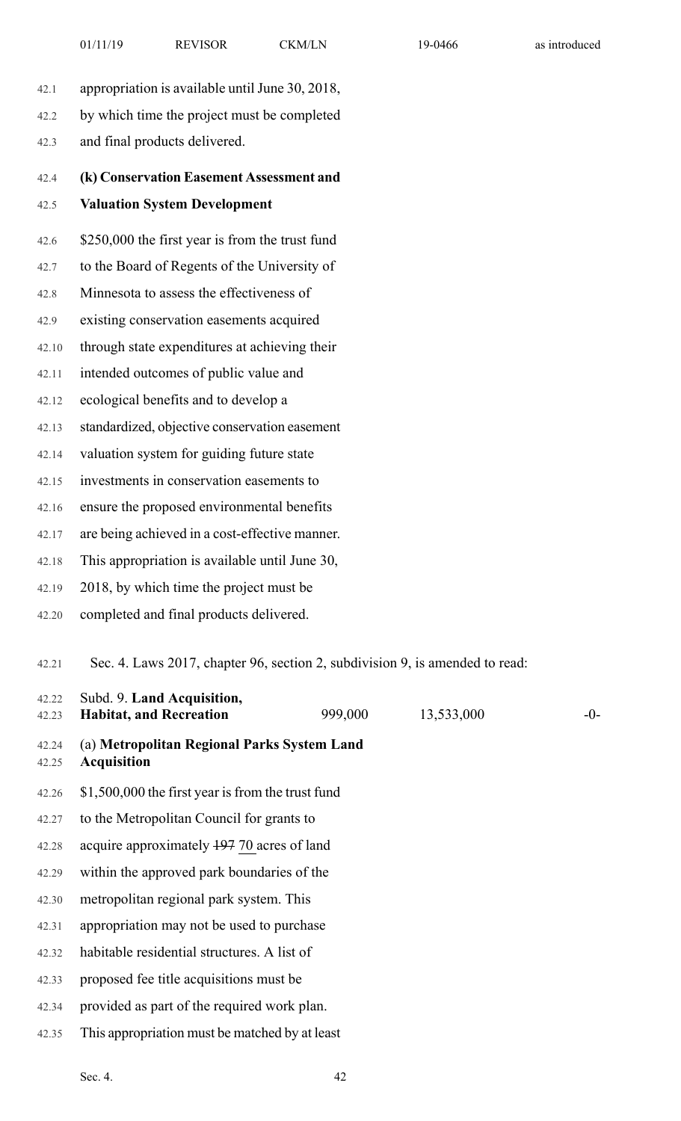13,533,000 -0-

| 42.1           | appropriation is available until June 30, 2018,                                       |
|----------------|---------------------------------------------------------------------------------------|
| 42.2           | by which time the project must be completed                                           |
| 42.3           | and final products delivered.                                                         |
| 42.4           | (k) Conservation Easement Assessment and                                              |
| 42.5           | <b>Valuation System Development</b>                                                   |
| 42.6           | \$250,000 the first year is from the trust fund                                       |
| 42.7           | to the Board of Regents of the University of                                          |
| 42.8           | Minnesota to assess the effectiveness of                                              |
| 42.9           | existing conservation easements acquired                                              |
| 42.10          | through state expenditures at achieving their                                         |
| 42.11          | intended outcomes of public value and                                                 |
| 42.12          | ecological benefits and to develop a                                                  |
| 42.13          | standardized, objective conservation easement                                         |
| 42.14          | valuation system for guiding future state                                             |
| 42.15          | investments in conservation easements to                                              |
| 42.16          | ensure the proposed environmental benefits                                            |
| 42.17          | are being achieved in a cost-effective manner.                                        |
| 42.18          | This appropriation is available until June 30,                                        |
| 42.19          | 2018, by which time the project must be                                               |
| 42.20          | completed and final products delivered.                                               |
| 42.21          | Sec. 4. Laws 2017, chapter 96, section 2, subdivision 9, is amended to read:          |
| 42.22<br>42.23 | Subd. 9. Land Acquisition,<br><b>Habitat, and Recreation</b><br>999,000<br>13,533,000 |
| 42.24<br>42.25 | (a) Metropolitan Regional Parks System Land<br><b>Acquisition</b>                     |
| 42.26          | \$1,500,000 the first year is from the trust fund                                     |
| 42.27          | to the Metropolitan Council for grants to                                             |
| 42.28          | acquire approximately 19770 acres of land                                             |
| 42.29          | within the approved park boundaries of the                                            |
| 42.30          | metropolitan regional park system. This                                               |

42.31 appropriation may not be used to purchase

42.34 provided as part of the required work plan.

42.35 This appropriation must be matched by at least

42.32 habitable residential structures. A list of

42.33 proposed fee title acquisitions must be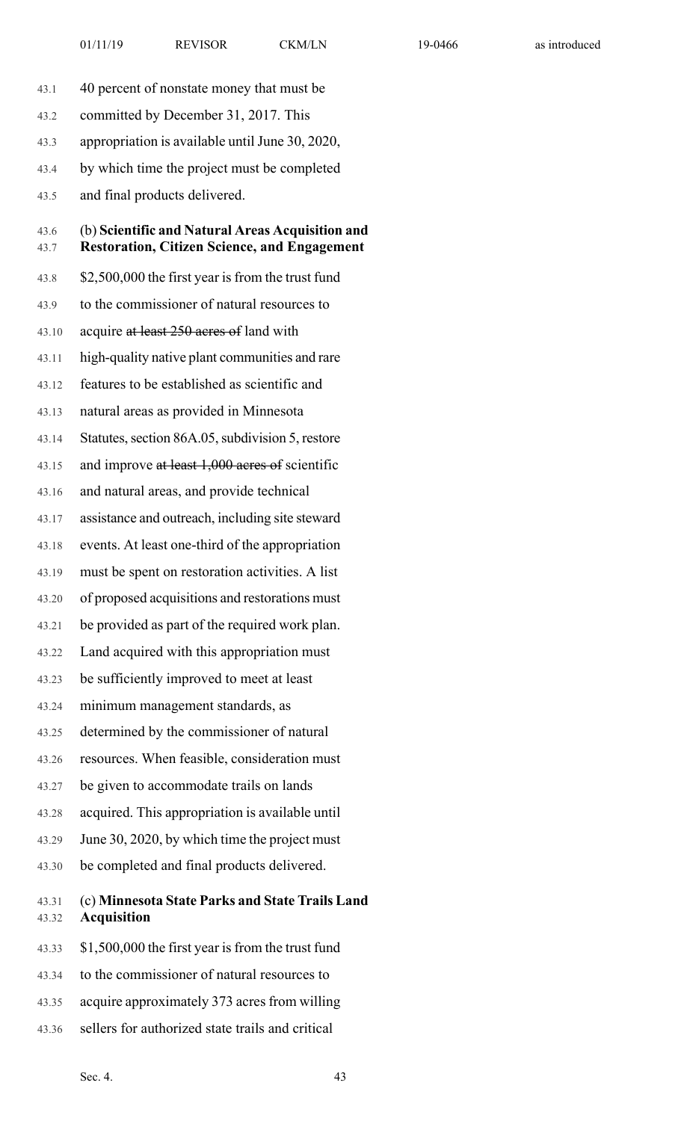- 43.1 40 percent of nonstate money that must be
- 43.2 committed by December 31, 2017. This
- 43.3 appropriation is available until June 30, 2020,
- 43.4 by which time the project must be completed
- 43.5 and final products delivered.

#### 43.6 (b) **Scientific and Natural Areas Acquisition and** 43.7 **Restoration, Citizen Science, and Engagement**

- 43.8 \$2,500,000 the first year is from the trust fund
- 43.9 to the commissioner of natural resources to
- 43.10 acquire at least 250 acres of land with
- 43.11 high-quality native plant communities and rare
- 43.12 features to be established as scientific and
- 43.13 natural areas as provided in Minnesota
- 43.14 Statutes, section 86A.05, subdivision 5, restore
- 43.15 and improve at least 1,000 acres of scientific
- 43.16 and natural areas, and provide technical
- 43.17 assistance and outreach, including site steward
- 43.18 events. At least one-third of the appropriation
- 43.19 must be spent on restoration activities. A list
- 43.20 of proposed acquisitions and restorations must
- 43.21 be provided as part of the required work plan.
- 43.22 Land acquired with this appropriation must
- 43.23 be sufficiently improved to meet at least
- 43.24 minimum management standards, as
- 43.25 determined by the commissioner of natural
- 43.26 resources. When feasible, consideration must
- 43.27 be given to accommodate trails on lands
- 43.28 acquired. This appropriation is available until
- 43.29 June 30, 2020, by which time the project must
- 43.30 be completed and final products delivered.

#### 43.31 (c) **Minnesota State Parks and State Trails Land** 43.32 **Acquisition**

- 43.33 \$1,500,000 the first year isfrom the trust fund
- 43.34 to the commissioner of natural resources to
- 43.35 acquire approximately 373 acres from willing
- 43.36 sellers for authorized state trails and critical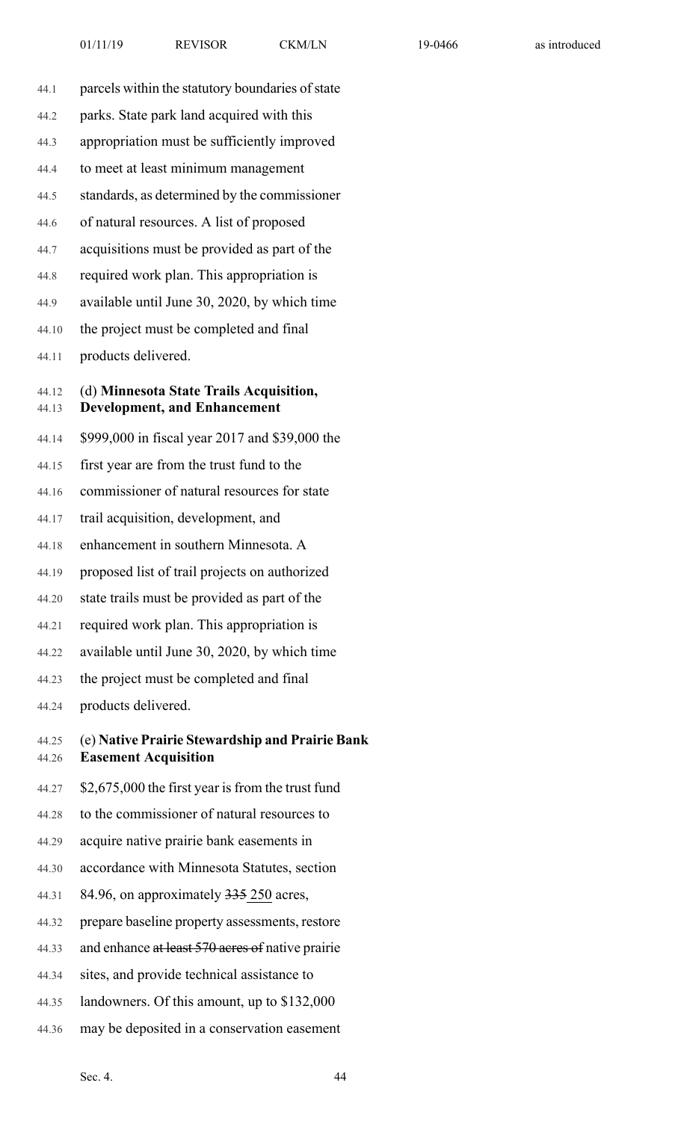- 44.1 parcels within the statutory boundaries of state 44.2 parks. State park land acquired with this 44.3 appropriation must be sufficiently improved 44.4 to meet at least minimum management 44.5 standards, as determined by the commissioner 44.6 of natural resources. A list of proposed 44.7 acquisitions must be provided as part of the 44.8 required work plan. This appropriation is 44.9 available until June 30, 2020, by which time 44.10 the project must be completed and final
- 44.11 products delivered.

#### 44.12 (d) **Minnesota State Trails Acquisition,** 44.13 **Development, and Enhancement**

- 44.14 \$999,000 in fiscal year 2017 and \$39,000 the
- 44.15 first year are from the trust fund to the
- 44.16 commissioner of natural resources for state
- 44.17 trail acquisition, development, and
- 44.18 enhancement in southern Minnesota. A
- 44.19 proposed list of trail projects on authorized
- 44.20 state trails must be provided as part of the
- 44.21 required work plan. This appropriation is
- 44.22 available until June 30, 2020, by which time
- 44.23 the project must be completed and final
- 44.24 products delivered.
- 44.25 (e) **Native Prairie Stewardship and Prairie Bank** 44.26 **Easement Acquisition**
- $44.27\quad$  \$2,675,000 the first year is from the trust fund
- 44.28 to the commissioner of natural resources to
- 44.29 acquire native prairie bank easements in
- 44.30 accordance with Minnesota Statutes, section
- 44.31 84.96, on approximately 335 250 acres,
- 44.32 prepare baseline property assessments, restore
- 44.33 and enhance at least 570 acres of native prairie
- 44.34 sites, and provide technical assistance to
- 44.35 landowners. Of this amount, up to \$132,000
- 44.36 may be deposited in a conservation easement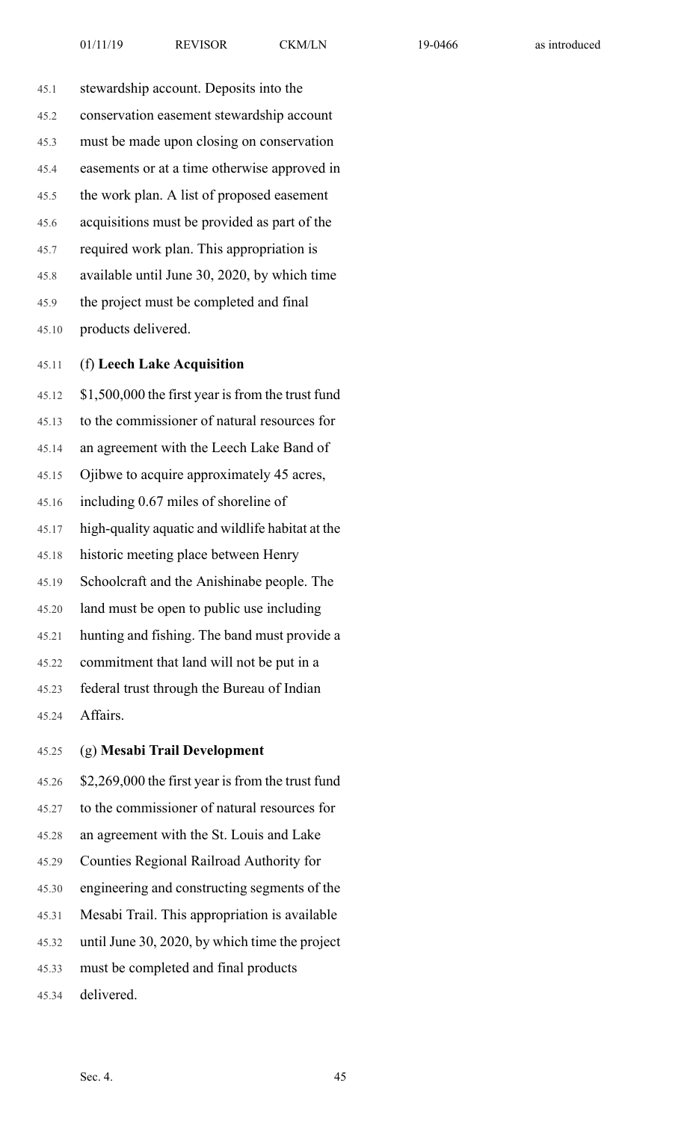45.1 stewardship account. Deposits into the 45.2 conservation easement stewardship account 45.3 must be made upon closing on conservation 45.4 easements or at a time otherwise approved in 45.5 the work plan. A list of proposed easement 45.6 acquisitions must be provided as part of the 45.7 required work plan. This appropriation is 45.8 available until June 30, 2020, by which time 45.9 the project must be completed and final 45.10 products delivered.

#### 45.11 (f) **Leech Lake Acquisition**

45.12 \$1,500,000 the first year is from the trust fund 45.13 to the commissioner of natural resources for 45.14 an agreement with the Leech Lake Band of 45.15 Ojibwe to acquire approximately 45 acres, 45.16 including 0.67 miles of shoreline of 45.17 high-quality aquatic and wildlife habitat at the 45.18 historic meeting place between Henry 45.19 Schoolcraft and the Anishinabe people. The 45.20 land must be open to public use including 45.21 hunting and fishing. The band must provide a 45.22 commitment that land will not be put in a 45.23 federal trust through the Bureau of Indian 45.24 Affairs.

45.25 (g) **Mesabi Trail Development**

45.26 \$2,269,000 the first year is from the trust fund 45.27 to the commissioner of natural resources for 45.28 an agreement with the St. Louis and Lake 45.29 Counties Regional Railroad Authority for 45.30 engineering and constructing segments of the 45.31 Mesabi Trail. This appropriation is available 45.32 until June 30, 2020, by which time the project 45.33 must be completed and final products

45.34 delivered.